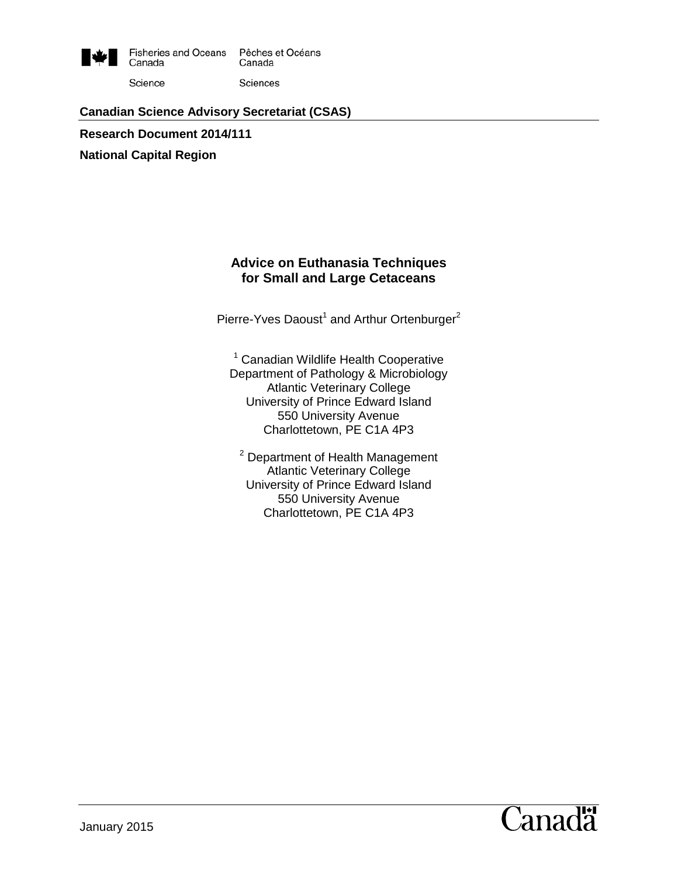

# **Canadian Science Advisory Secretariat (CSAS)**

**Research Document 2014/111 National Capital Region**

### **Advice on Euthanasia Techniques for Small and Large Cetaceans**

Pierre-Yves Daoust<sup>1</sup> and Arthur Ortenburger<sup>2</sup>

<sup>1</sup> Canadian Wildlife Health Cooperative Department of Pathology & Microbiology Atlantic Veterinary College University of Prince Edward Island 550 University Avenue Charlottetown, PE C1A 4P3

<sup>2</sup> Department of Health Management Atlantic Veterinary College University of Prince Edward Island 550 University Avenue Charlottetown, PE C1A 4P3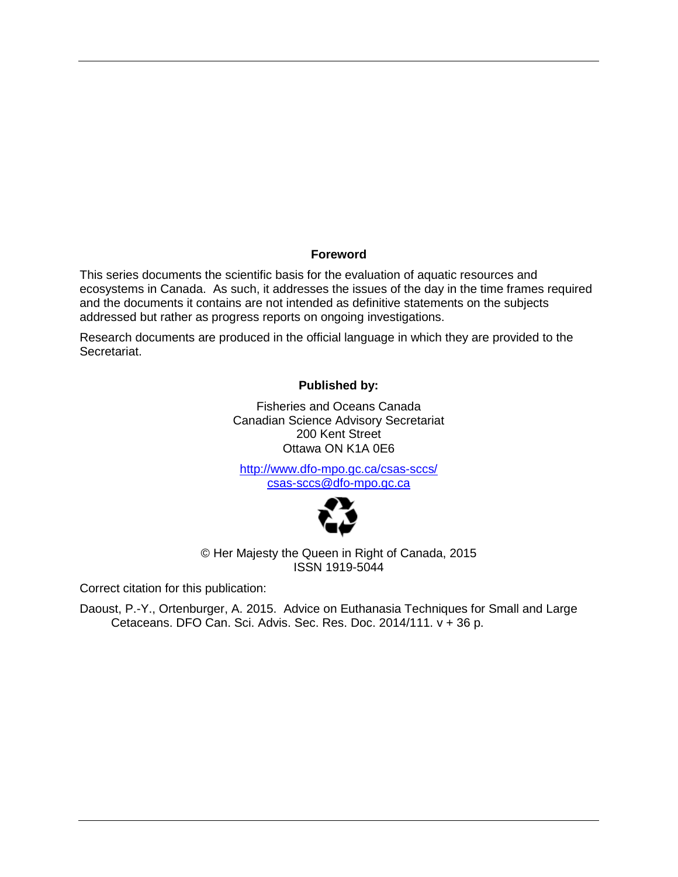#### **Foreword**

This series documents the scientific basis for the evaluation of aquatic resources and ecosystems in Canada. As such, it addresses the issues of the day in the time frames required and the documents it contains are not intended as definitive statements on the subjects addressed but rather as progress reports on ongoing investigations.

Research documents are produced in the official language in which they are provided to the Secretariat.

#### **Published by:**

Fisheries and Oceans Canada Canadian Science Advisory Secretariat 200 Kent Street Ottawa ON K1A 0E6

<http://www.dfo-mpo.gc.ca/csas-sccs/> [csas-sccs@dfo-mpo.gc.ca](mailto:csas-sccs@dfo-mpo.gc.ca)



© Her Majesty the Queen in Right of Canada, 2015 ISSN 1919-5044

Correct citation for this publication:

Daoust, P.-Y., Ortenburger, A. 2015. Advice on Euthanasia Techniques for Small and Large Cetaceans. DFO Can. Sci. Advis. Sec. Res. Doc. 2014/111. v + 36 p.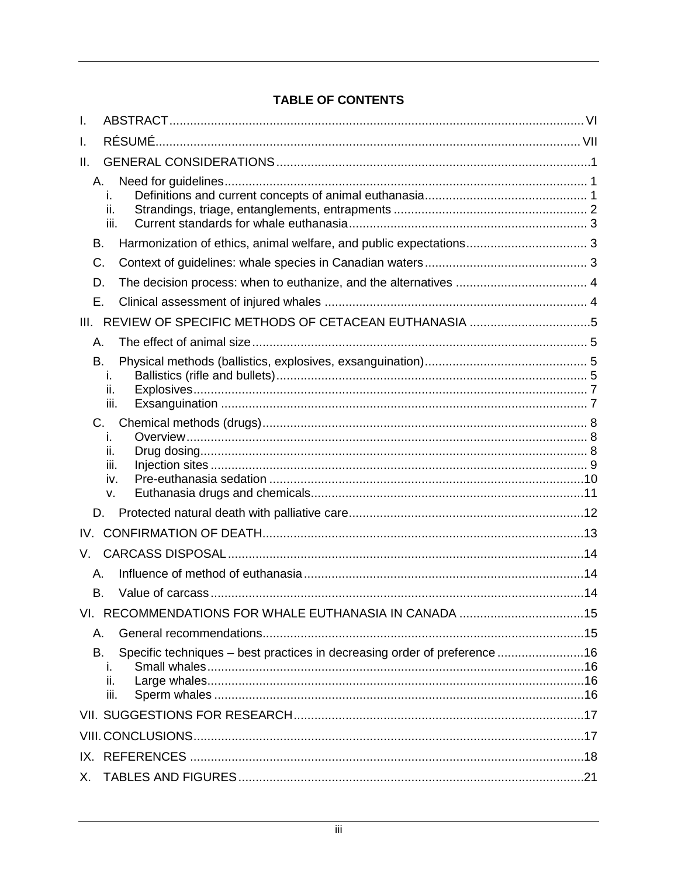### **TABLE OF CONTENTS**

| I.                                                                                                   |  |
|------------------------------------------------------------------------------------------------------|--|
| I.                                                                                                   |  |
| Ш.                                                                                                   |  |
| А.<br>ı.<br>ii.<br>iii.                                                                              |  |
| В.                                                                                                   |  |
| C.                                                                                                   |  |
| D.                                                                                                   |  |
| Ε.                                                                                                   |  |
| III. REVIEW OF SPECIFIC METHODS OF CETACEAN EUTHANASIA 5                                             |  |
| А.                                                                                                   |  |
| В.<br>ı.<br>ii.<br>iii.                                                                              |  |
| C.<br>ı.<br>ii.<br>iii.<br>iv.<br>v.                                                                 |  |
| D.                                                                                                   |  |
|                                                                                                      |  |
| V.                                                                                                   |  |
| А.                                                                                                   |  |
| В.                                                                                                   |  |
|                                                                                                      |  |
| А.                                                                                                   |  |
| Specific techniques - best practices in decreasing order of preference 16<br>В.<br>Ĺ.<br>ii.<br>iii. |  |
|                                                                                                      |  |
|                                                                                                      |  |
|                                                                                                      |  |
| Х.                                                                                                   |  |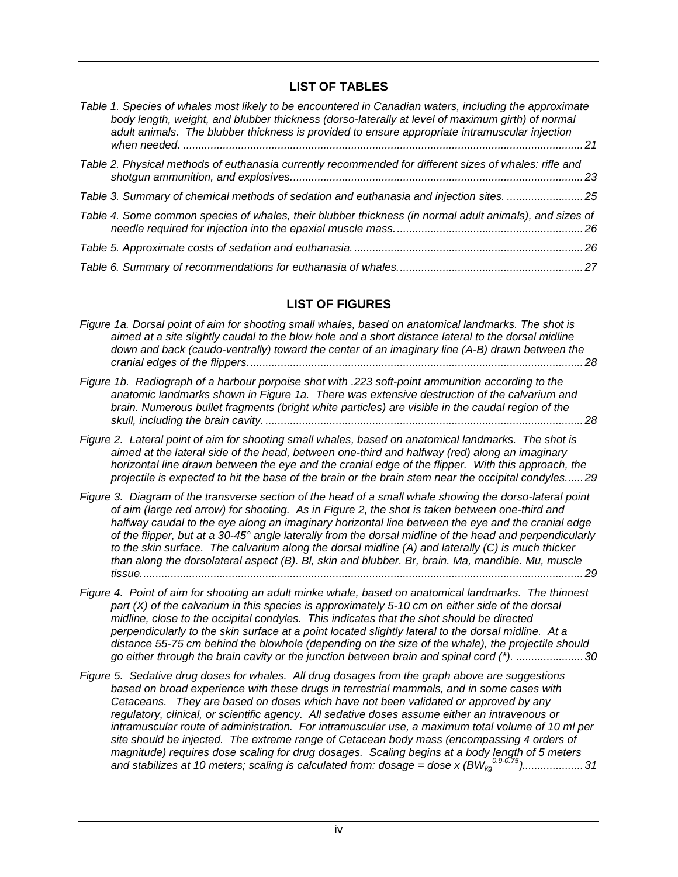#### **LIST OF TABLES**

| Table 1. Species of whales most likely to be encountered in Canadian waters, including the approximate<br>body length, weight, and blubber thickness (dorso-laterally at level of maximum girth) of normal<br>adult animals. The blubber thickness is provided to ensure appropriate intramuscular injection |  |
|--------------------------------------------------------------------------------------------------------------------------------------------------------------------------------------------------------------------------------------------------------------------------------------------------------------|--|
| Table 2. Physical methods of euthanasia currently recommended for different sizes of whales: rifle and                                                                                                                                                                                                       |  |
| Table 3. Summary of chemical methods of sedation and euthanasia and injection sites. 25                                                                                                                                                                                                                      |  |
| Table 4. Some common species of whales, their blubber thickness (in normal adult animals), and sizes of                                                                                                                                                                                                      |  |
|                                                                                                                                                                                                                                                                                                              |  |
|                                                                                                                                                                                                                                                                                                              |  |

#### **LIST OF FIGURES**

| Figure 1a. Dorsal point of aim for shooting small whales, based on anatomical landmarks. The shot is |  |
|------------------------------------------------------------------------------------------------------|--|
| aimed at a site slightly caudal to the blow hole and a short distance lateral to the dorsal midline  |  |
| down and back (caudo-ventrally) toward the center of an imaginary line (A-B) drawn between the       |  |
|                                                                                                      |  |

- *[Figure 1b. Radiograph of a harbour porpoise shot with .223 soft-point ammunition according to the](#page-34-1)  [anatomic landmarks shown in Figure 1a. There was extensive destruction of the calvarium and](#page-34-1)  [brain. Numerous bullet fragments \(bright white particles\) are visible in the caudal region of the](#page-34-1)  skull, including the brain cavity. [........................................................................................................28](#page-34-1)*
- *[Figure 2. Lateral point of aim for shooting small whales, based on anatomical landmarks. The shot is](#page-35-0)  [aimed at the lateral side of the head, between one-third and halfway \(red\) along an imaginary](#page-35-0)  [horizontal line drawn between the eye and the cranial edge of the flipper. With this approach, the](#page-35-0)  [projectile is expected to hit the base of the brain or the brain stem near the occipital condyles......29](#page-35-0)*
- *[Figure 3. Diagram of the transverse section of the head of a small whale showing the dorso-lateral point](#page-35-1)  [of aim \(large red arrow\) for shooting. As in Figure 2, the shot is taken between one-third and](#page-35-1)  [halfway caudal to the eye along an imaginary horizontal line between the eye and the cranial edge](#page-35-1)  [of the flipper, but at a 30-45° angle laterally from the dorsal midline of the head and perpendicularly](#page-35-1)  to [the skin surface. The calvarium along the dorsal midline \(A\) and laterally \(C\) is much thicker](#page-35-1)  [than along the dorsolateral aspect \(B\). Bl, skin and blubber. Br, brain. Ma, mandible. Mu, muscle](#page-35-1)  [tissue.................................................................................................................................................29](#page-35-1)*
- *[Figure 4. Point of aim for shooting an adult minke whale, based on anatomical landmarks. The thinnest](#page-36-0)  [part \(X\) of the calvarium in this species is approximately 5-10 cm on either side of the dorsal](#page-36-0)  [midline, close to the occipital condyles. This indicates that the shot should be directed](#page-36-0)  [perpendicularly to the skin surface at a point located slightly lateral to the dorsal midline. At a](#page-36-0)  [distance 55-75 cm behind the blowhole \(depending on the size of the whale\), the projectile should](#page-36-0)  [go either through the brain cavity or the junction between brain and spinal cord \(\\*\).](#page-36-0) ......................30*
- *[Figure 5. Sedative drug doses for whales. All drug dosages from the graph above are suggestions](#page-37-0)  [based on broad experience with these drugs in terrestrial mammals, and in some cases with](#page-37-0)  [Cetaceans. They are based on doses which have not been validated or approved by any](#page-37-0)  [regulatory, clinical, or scientific agency. All sedative doses assume either an intravenous or](#page-37-0)  [intramuscular route of administration. For intramuscular use, a maximum total volume of 10 ml per](#page-37-0)  [site should be injected. The extreme range of Cetacean body mass \(encompassing 4 orders of](#page-37-0)  [magnitude\) requires dose scaling for drug dosages. Scaling begins at a body length of 5 meters](#page-37-0)  [and stabilizes at 10 meters; scaling is calculated from: dosage = dose x \(BWkg](#page-37-0) 0.9-0.75)....................31*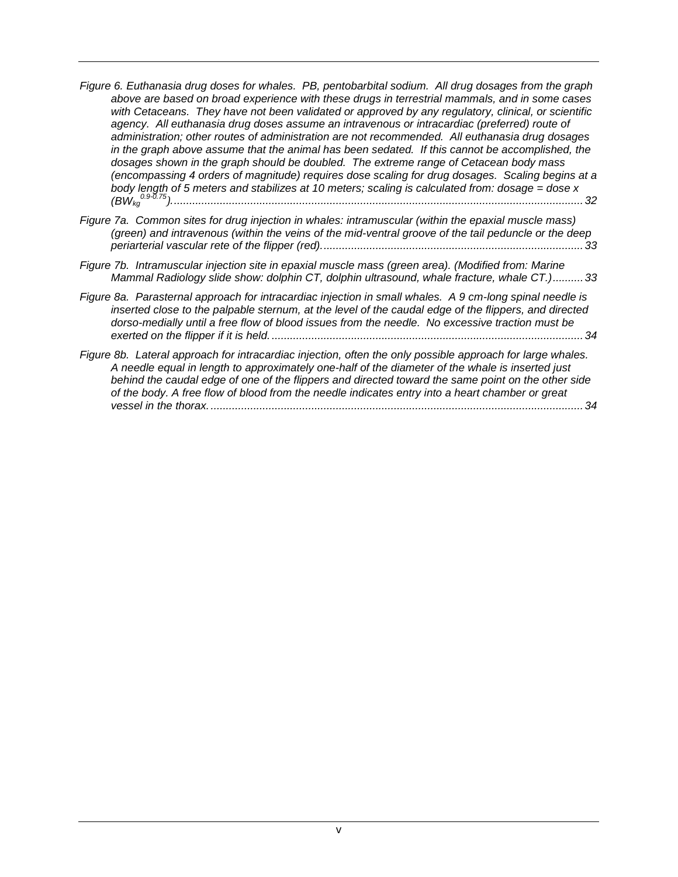- *[Figure 6. Euthanasia drug doses for whales. PB, pentobarbital sodium. All drug dosages from the graph](#page-38-0)  [above are based on broad experience with these drugs in terrestrial mammals, and in some cases](#page-38-0)  [with Cetaceans. They have not been validated or approved by any regulatory, clinical, or scientific](#page-38-0)*  agency. All euthanasia drug doses assume an intravenous or intracardiac (preferred) route of *[administration; other routes of administration are not recommended. All euthanasia drug dosages](#page-38-0)  [in the graph above assume that the animal has been sedated. If this cannot be accomplished, the](#page-38-0)  [dosages shown in the graph should be doubled. The extreme range of Cetacean body mass](#page-38-0)  [\(encompassing 4 orders of magnitude\) requires dose scaling for drug dosages. Scaling begins at a](#page-38-0)  [body length of 5 meters and stabilizes at 10 meters; scaling is calculated from: dosage = dose x](#page-38-0)  (BWkg 0.9-0.75).[......................................................................................................................................32](#page-38-0)*
- *[Figure 7a. Common sites for drug injection in whales: intramuscular \(within the epaxial muscle mass\)](#page-39-0)  [\(green\) and intravenous \(within the veins of the mid-ventral groove of the tail peduncle or the deep](#page-39-0)  [periarterial vascular rete of the flipper \(red\)......................................................................................33](#page-39-0)*
- *[Figure 7b. Intramuscular injection site in epaxial muscle mass \(green area\). \(Modified from: Marine](#page-39-1)  [Mammal Radiology slide show: dolphin CT, dolphin ultrasound, whale fracture, whale CT.\)..........33](#page-39-1)*
- *[Figure 8a. Parasternal approach for intracardiac injection in small whales. A 9 cm-long spinal needle is](#page-40-0)  [inserted close to the palpable sternum, at the level of](#page-40-0) the caudal edge of the flippers, and directed [dorso-medially until a free flow of blood issues from the needle. No excessive traction must be](#page-40-0)  exerted on the flipper if it is held. [......................................................................................................34](#page-40-0)*
- *[Figure 8b. Lateral approach for intracardiac injection, often the only possible approach for large whales.](#page-40-1)  [A needle equal in length to approximately one-half of the diameter of the whale is inserted](#page-40-1) just [behind the caudal edge of one of the flippers and directed toward the same point on the other side](#page-40-1)  [of the body. A free flow of blood from the needle indicates entry into a heart chamber or great](#page-40-1)  [vessel in the thorax...........................................................................................................................34](#page-40-1)*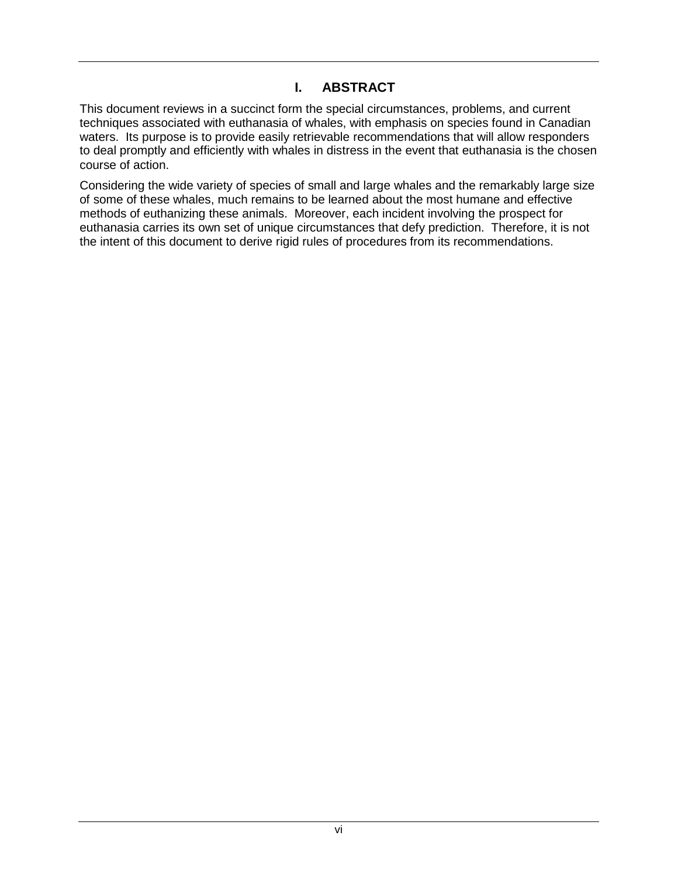### **I. ABSTRACT**

<span id="page-5-0"></span>This document reviews in a succinct form the special circumstances, problems, and current techniques associated with euthanasia of whales, with emphasis on species found in Canadian waters. Its purpose is to provide easily retrievable recommendations that will allow responders to deal promptly and efficiently with whales in distress in the event that euthanasia is the chosen course of action.

Considering the wide variety of species of small and large whales and the remarkably large size of some of these whales, much remains to be learned about the most humane and effective methods of euthanizing these animals. Moreover, each incident involving the prospect for euthanasia carries its own set of unique circumstances that defy prediction. Therefore, it is not the intent of this document to derive rigid rules of procedures from its recommendations.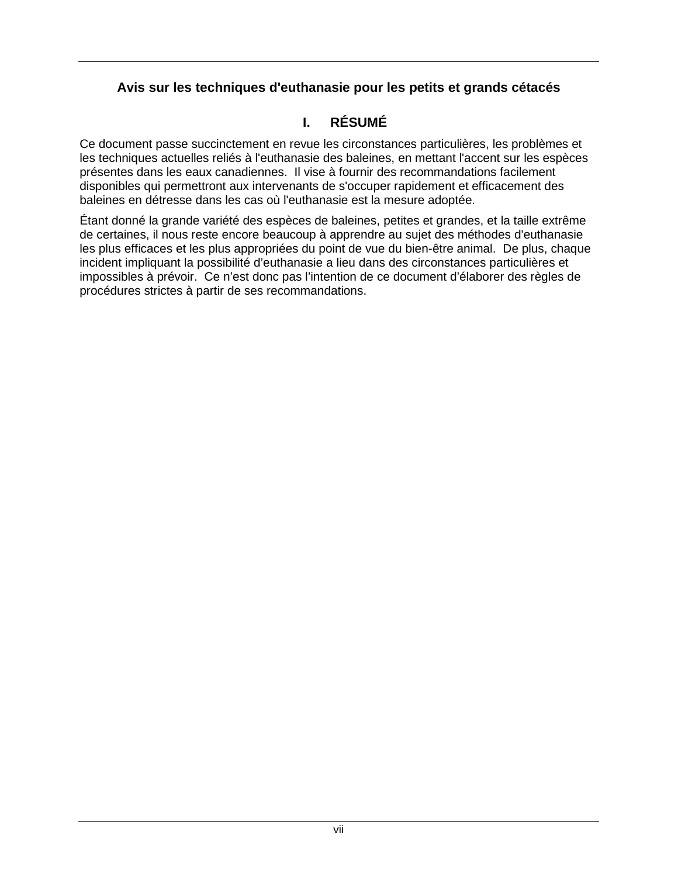### **Avis sur les techniques d'euthanasie pour les petits et grands cétacés**

# **I. RÉSUMÉ**

<span id="page-6-0"></span>Ce document passe succinctement en revue les circonstances particulières, les problèmes et les techniques actuelles reliés à l'euthanasie des baleines, en mettant l'accent sur les espèces présentes dans les eaux canadiennes. Il vise à fournir des recommandations facilement disponibles qui permettront aux intervenants de s'occuper rapidement et efficacement des baleines en détresse dans les cas où l'euthanasie est la mesure adoptée.

Étant donné la grande variété des espèces de baleines, petites et grandes, et la taille extrême de certaines, il nous reste encore beaucoup à apprendre au sujet des méthodes d'euthanasie les plus efficaces et les plus appropriées du point de vue du bien-être animal. De plus, chaque incident impliquant la possibilité d'euthanasie a lieu dans des circonstances particulières et impossibles à prévoir. Ce n'est donc pas l'intention de ce document d'élaborer des règles de procédures strictes à partir de ses recommandations.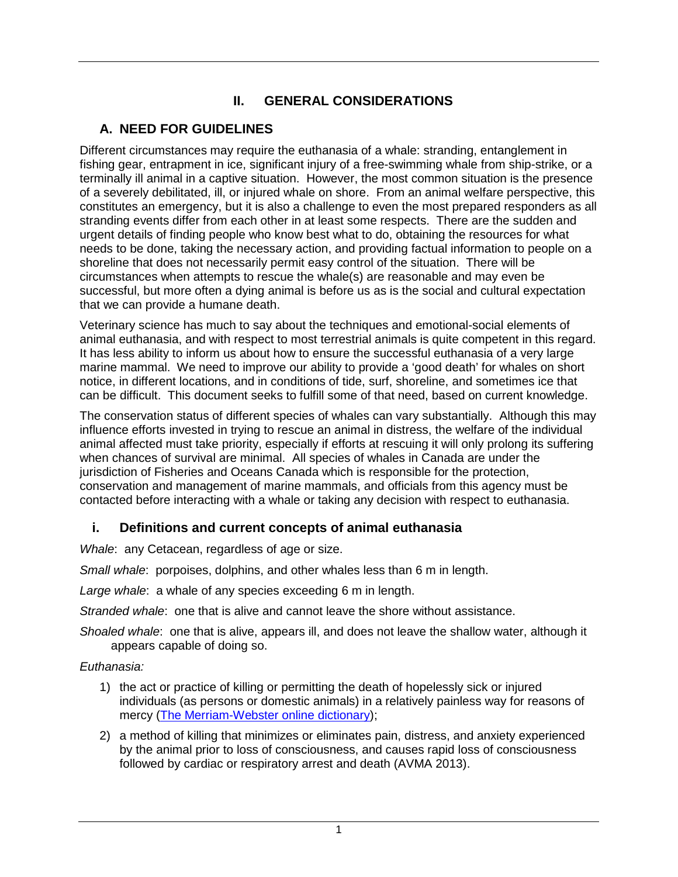# **II. GENERAL CONSIDERATIONS**

## <span id="page-7-1"></span><span id="page-7-0"></span>**A. NEED FOR GUIDELINES**

Different circumstances may require the euthanasia of a whale: stranding, entanglement in fishing gear, entrapment in ice, significant injury of a free-swimming whale from ship-strike, or a terminally ill animal in a captive situation. However, the most common situation is the presence of a severely debilitated, ill, or injured whale on shore. From an animal welfare perspective, this constitutes an emergency, but it is also a challenge to even the most prepared responders as all stranding events differ from each other in at least some respects. There are the sudden and urgent details of finding people who know best what to do, obtaining the resources for what needs to be done, taking the necessary action, and providing factual information to people on a shoreline that does not necessarily permit easy control of the situation. There will be circumstances when attempts to rescue the whale(s) are reasonable and may even be successful, but more often a dying animal is before us as is the social and cultural expectation that we can provide a humane death.

Veterinary science has much to say about the techniques and emotional-social elements of animal euthanasia, and with respect to most terrestrial animals is quite competent in this regard. It has less ability to inform us about how to ensure the successful euthanasia of a very large marine mammal. We need to improve our ability to provide a 'good death' for whales on short notice, in different locations, and in conditions of tide, surf, shoreline, and sometimes ice that can be difficult. This document seeks to fulfill some of that need, based on current knowledge.

The conservation status of different species of whales can vary substantially. Although this may influence efforts invested in trying to rescue an animal in distress, the welfare of the individual animal affected must take priority, especially if efforts at rescuing it will only prolong its suffering when chances of survival are minimal. All species of whales in Canada are under the jurisdiction of Fisheries and Oceans Canada which is responsible for the protection, conservation and management of marine mammals, and officials from this agency must be contacted before interacting with a whale or taking any decision with respect to euthanasia.

## <span id="page-7-2"></span>**i. Definitions and current concepts of animal euthanasia**

*Whale*: any Cetacean, regardless of age or size.

*Small whale*: porpoises, dolphins, and other whales less than 6 m in length.

*Large whale*: a whale of any species exceeding 6 m in length.

*Stranded whale*: one that is alive and cannot leave the shore without assistance.

*Shoaled whale*: one that is alive, appears ill, and does not leave the shallow water, although it appears capable of doing so.

#### *Euthanasia:*

- 1) the act or practice of killing or permitting the death of hopelessly sick or injured individuals (as persons or domestic animals) in a relatively painless way for reasons of mercy [\(The Merriam-Webster online dictionary\)](http://www.merriam-webster.com/dictionary/euthanasia);
- 2) a method of killing that minimizes or eliminates pain, distress, and anxiety experienced by the animal prior to loss of consciousness, and causes rapid loss of consciousness followed by cardiac or respiratory arrest and death (AVMA 2013).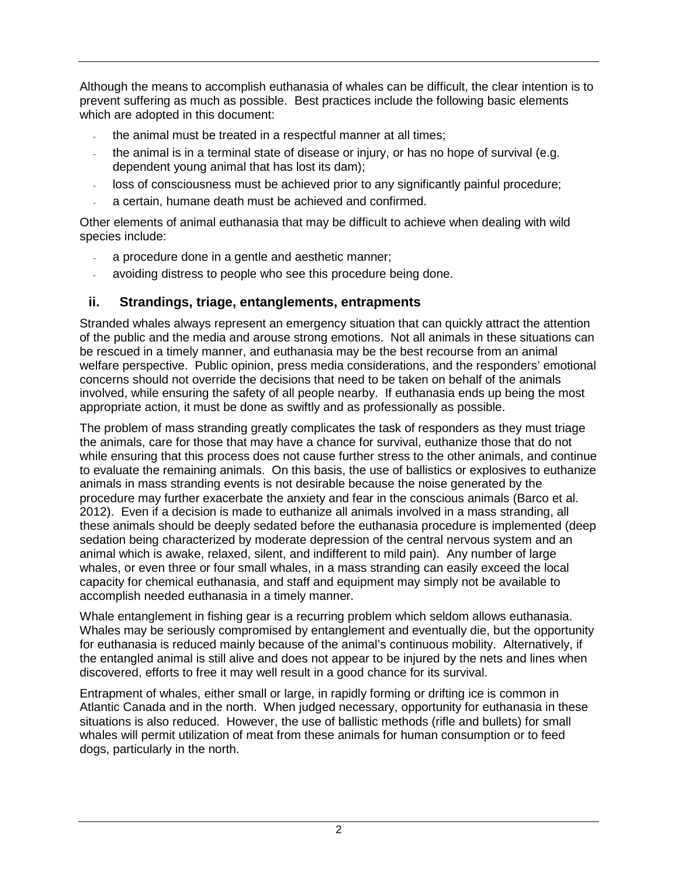Although the means to accomplish euthanasia of whales can be difficult, the clear intention is to prevent suffering as much as possible. Best practices include the following basic elements which are adopted in this document:

- the animal must be treated in a respectful manner at all times;
- the animal is in a terminal state of disease or injury, or has no hope of survival (e.g. dependent young animal that has lost its dam);
- loss of consciousness must be achieved prior to any significantly painful procedure;
- a certain, humane death must be achieved and confirmed.

Other elements of animal euthanasia that may be difficult to achieve when dealing with wild species include:

- a procedure done in a gentle and aesthetic manner;
- avoiding distress to people who see this procedure being done.

### <span id="page-8-0"></span>**ii. Strandings, triage, entanglements, entrapments**

Stranded whales always represent an emergency situation that can quickly attract the attention of the public and the media and arouse strong emotions. Not all animals in these situations can be rescued in a timely manner, and euthanasia may be the best recourse from an animal welfare perspective. Public opinion, press media considerations, and the responders' emotional concerns should not override the decisions that need to be taken on behalf of the animals involved, while ensuring the safety of all people nearby. If euthanasia ends up being the most appropriate action, it must be done as swiftly and as professionally as possible.

The problem of mass stranding greatly complicates the task of responders as they must triage the animals, care for those that may have a chance for survival, euthanize those that do not while ensuring that this process does not cause further stress to the other animals, and continue to evaluate the remaining animals. On this basis, the use of ballistics or explosives to euthanize animals in mass stranding events is not desirable because the noise generated by the procedure may further exacerbate the anxiety and fear in the conscious animals (Barco et al. 2012). Even if a decision is made to euthanize all animals involved in a mass stranding, all these animals should be deeply sedated before the euthanasia procedure is implemented (deep sedation being characterized by moderate depression of the central nervous system and an animal which is awake, relaxed, silent, and indifferent to mild pain). Any number of large whales, or even three or four small whales, in a mass stranding can easily exceed the local capacity for chemical euthanasia, and staff and equipment may simply not be available to accomplish needed euthanasia in a timely manner.

Whale entanglement in fishing gear is a recurring problem which seldom allows euthanasia. Whales may be seriously compromised by entanglement and eventually die, but the opportunity for euthanasia is reduced mainly because of the animal's continuous mobility. Alternatively, if the entangled animal is still alive and does not appear to be injured by the nets and lines when discovered, efforts to free it may well result in a good chance for its survival.

Entrapment of whales, either small or large, in rapidly forming or drifting ice is common in Atlantic Canada and in the north. When judged necessary, opportunity for euthanasia in these situations is also reduced. However, the use of ballistic methods (rifle and bullets) for small whales will permit utilization of meat from these animals for human consumption or to feed dogs, particularly in the north.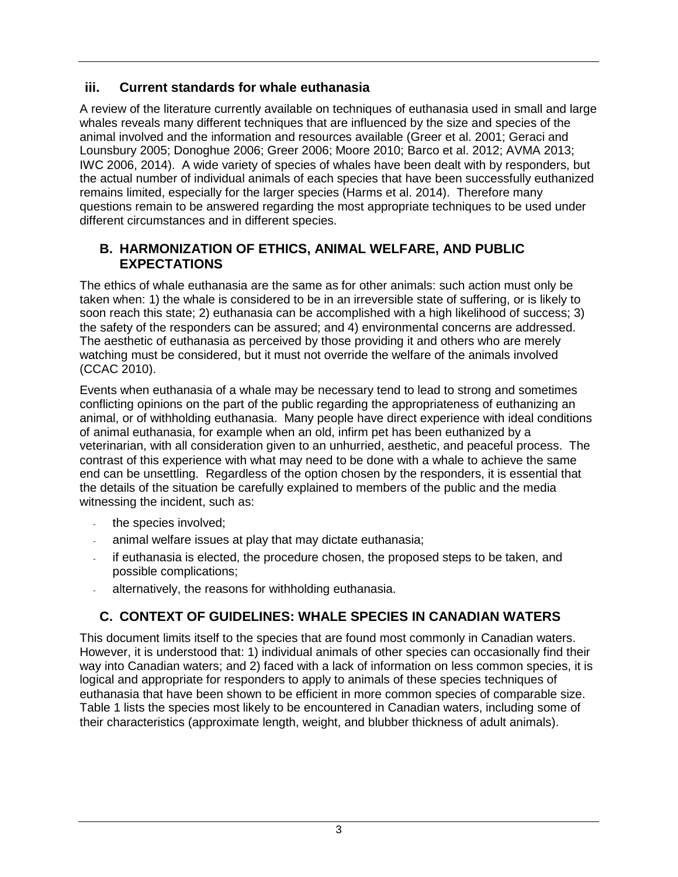### <span id="page-9-0"></span>**iii. Current standards for whale euthanasia**

A review of the literature currently available on techniques of euthanasia used in small and large whales reveals many different techniques that are influenced by the size and species of the animal involved and the information and resources available (Greer et al. 2001; Geraci and Lounsbury 2005; Donoghue 2006; Greer 2006; Moore 2010; Barco et al. 2012; AVMA 2013; IWC 2006, 2014). A wide variety of species of whales have been dealt with by responders, but the actual number of individual animals of each species that have been successfully euthanized remains limited, especially for the larger species (Harms et al. 2014). Therefore many questions remain to be answered regarding the most appropriate techniques to be used under different circumstances and in different species.

### <span id="page-9-1"></span>**B. HARMONIZATION OF ETHICS, ANIMAL WELFARE, AND PUBLIC EXPECTATIONS**

The ethics of whale euthanasia are the same as for other animals: such action must only be taken when: 1) the whale is considered to be in an irreversible state of suffering, or is likely to soon reach this state; 2) euthanasia can be accomplished with a high likelihood of success; 3) the safety of the responders can be assured; and 4) environmental concerns are addressed. The aesthetic of euthanasia as perceived by those providing it and others who are merely watching must be considered, but it must not override the welfare of the animals involved (CCAC 2010).

Events when euthanasia of a whale may be necessary tend to lead to strong and sometimes conflicting opinions on the part of the public regarding the appropriateness of euthanizing an animal, or of withholding euthanasia. Many people have direct experience with ideal conditions of animal euthanasia, for example when an old, infirm pet has been euthanized by a veterinarian, with all consideration given to an unhurried, aesthetic, and peaceful process. The contrast of this experience with what may need to be done with a whale to achieve the same end can be unsettling. Regardless of the option chosen by the responders, it is essential that the details of the situation be carefully explained to members of the public and the media witnessing the incident, such as:

- the species involved;
- animal welfare issues at play that may dictate euthanasia;
- if euthanasia is elected, the procedure chosen, the proposed steps to be taken, and possible complications;
- <span id="page-9-2"></span>alternatively, the reasons for withholding euthanasia.

# **C. CONTEXT OF GUIDELINES: WHALE SPECIES IN CANADIAN WATERS**

This document limits itself to the species that are found most commonly in Canadian waters. However, it is understood that: 1) individual animals of other species can occasionally find their way into Canadian waters; and 2) faced with a lack of information on less common species, it is logical and appropriate for responders to apply to animals of these species techniques of euthanasia that have been shown to be efficient in more common species of comparable size. Table 1 lists the species most likely to be encountered in Canadian waters, including some of their characteristics (approximate length, weight, and blubber thickness of adult animals).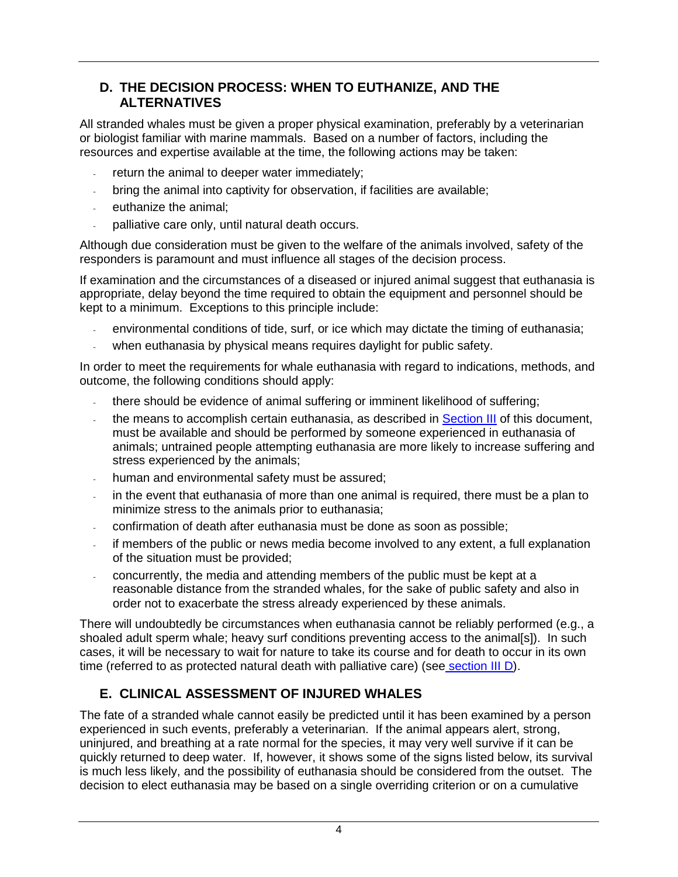### <span id="page-10-0"></span>**D. THE DECISION PROCESS: WHEN TO EUTHANIZE, AND THE ALTERNATIVES**

All stranded whales must be given a proper physical examination, preferably by a veterinarian or biologist familiar with marine mammals. Based on a number of factors, including the resources and expertise available at the time, the following actions may be taken:

- return the animal to deeper water immediately;
- bring the animal into captivity for observation, if facilities are available;
- euthanize the animal;
- palliative care only, until natural death occurs.

Although due consideration must be given to the welfare of the animals involved, safety of the responders is paramount and must influence all stages of the decision process.

If examination and the circumstances of a diseased or injured animal suggest that euthanasia is appropriate, delay beyond the time required to obtain the equipment and personnel should be kept to a minimum. Exceptions to this principle include:

- environmental conditions of tide, surf, or ice which may dictate the timing of euthanasia;
- when euthanasia by physical means requires daylight for public safety.

In order to meet the requirements for whale euthanasia with regard to indications, methods, and outcome, the following conditions should apply:

- there should be evidence of animal suffering or imminent likelihood of suffering;
- the means to accomplish certain euthanasia, as described in [Section III](#page-11-0) of this document, must be available and should be performed by someone experienced in euthanasia of animals; untrained people attempting euthanasia are more likely to increase suffering and stress experienced by the animals;
- human and environmental safety must be assured;
- in the event that euthanasia of more than one animal is required, there must be a plan to minimize stress to the animals prior to euthanasia;
- confirmation of death after euthanasia must be done as soon as possible;
- if members of the public or news media become involved to any extent, a full explanation of the situation must be provided;
- concurrently, the media and attending members of the public must be kept at a reasonable distance from the stranded whales, for the sake of public safety and also in order not to exacerbate the stress already experienced by these animals.

There will undoubtedly be circumstances when euthanasia cannot be reliably performed (e.g., a shoaled adult sperm whale; heavy surf conditions preventing access to the animal[s]). In such cases, it will be necessary to wait for nature to take its course and for death to occur in its own time (referred to as protected natural death with palliative care) (see [section III D\)](#page-18-0).

# <span id="page-10-1"></span>**E. CLINICAL ASSESSMENT OF INJURED WHALES**

The fate of a stranded whale cannot easily be predicted until it has been examined by a person experienced in such events, preferably a veterinarian. If the animal appears alert, strong, uninjured, and breathing at a rate normal for the species, it may very well survive if it can be quickly returned to deep water. If, however, it shows some of the signs listed below, its survival is much less likely, and the possibility of euthanasia should be considered from the outset. The decision to elect euthanasia may be based on a single overriding criterion or on a cumulative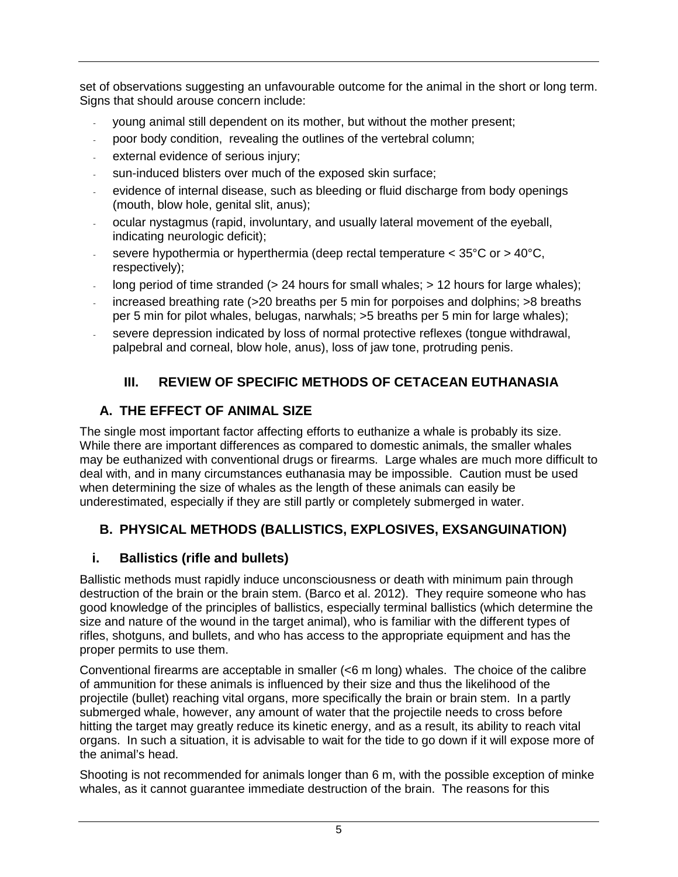set of observations suggesting an unfavourable outcome for the animal in the short or long term. Signs that should arouse concern include:

- young animal still dependent on its mother, but without the mother present;
- poor body condition, revealing the outlines of the vertebral column;
- external evidence of serious injury;
- sun-induced blisters over much of the exposed skin surface;
- evidence of internal disease, such as bleeding or fluid discharge from body openings (mouth, blow hole, genital slit, anus);
- ocular nystagmus (rapid, involuntary, and usually lateral movement of the eyeball, indicating neurologic deficit);
- severe hypothermia or hyperthermia (deep rectal temperature  $<$  35 $\degree$ C or  $>$  40 $\degree$ C, respectively);
- long period of time stranded (> 24 hours for small whales; > 12 hours for large whales);
- increased breathing rate (>20 breaths per 5 min for porpoises and dolphins; >8 breaths per 5 min for pilot whales, belugas, narwhals; >5 breaths per 5 min for large whales);
- <span id="page-11-0"></span>severe depression indicated by loss of normal protective reflexes (tongue withdrawal, palpebral and corneal, blow hole, anus), loss of jaw tone, protruding penis.

# **III. REVIEW OF SPECIFIC METHODS OF CETACEAN EUTHANASIA**

# <span id="page-11-1"></span>**A. THE EFFECT OF ANIMAL SIZE**

The single most important factor affecting efforts to euthanize a whale is probably its size. While there are important differences as compared to domestic animals, the smaller whales may be euthanized with conventional drugs or firearms. Large whales are much more difficult to deal with, and in many circumstances euthanasia may be impossible. Caution must be used when determining the size of whales as the length of these animals can easily be underestimated, especially if they are still partly or completely submerged in water.

# <span id="page-11-2"></span>**B. PHYSICAL METHODS (BALLISTICS, EXPLOSIVES, EXSANGUINATION)**

# <span id="page-11-3"></span>**i. Ballistics (rifle and bullets)**

Ballistic methods must rapidly induce unconsciousness or death with minimum pain through destruction of the brain or the brain stem. (Barco et al. 2012). They require someone who has good knowledge of the principles of ballistics, especially terminal ballistics (which determine the size and nature of the wound in the target animal), who is familiar with the different types of rifles, shotguns, and bullets, and who has access to the appropriate equipment and has the proper permits to use them.

Conventional firearms are acceptable in smaller (<6 m long) whales. The choice of the calibre of ammunition for these animals is influenced by their size and thus the likelihood of the projectile (bullet) reaching vital organs, more specifically the brain or brain stem. In a partly submerged whale, however, any amount of water that the projectile needs to cross before hitting the target may greatly reduce its kinetic energy, and as a result, its ability to reach vital organs. In such a situation, it is advisable to wait for the tide to go down if it will expose more of the animal's head.

Shooting is not recommended for animals longer than 6 m, with the possible exception of minke whales, as it cannot guarantee immediate destruction of the brain. The reasons for this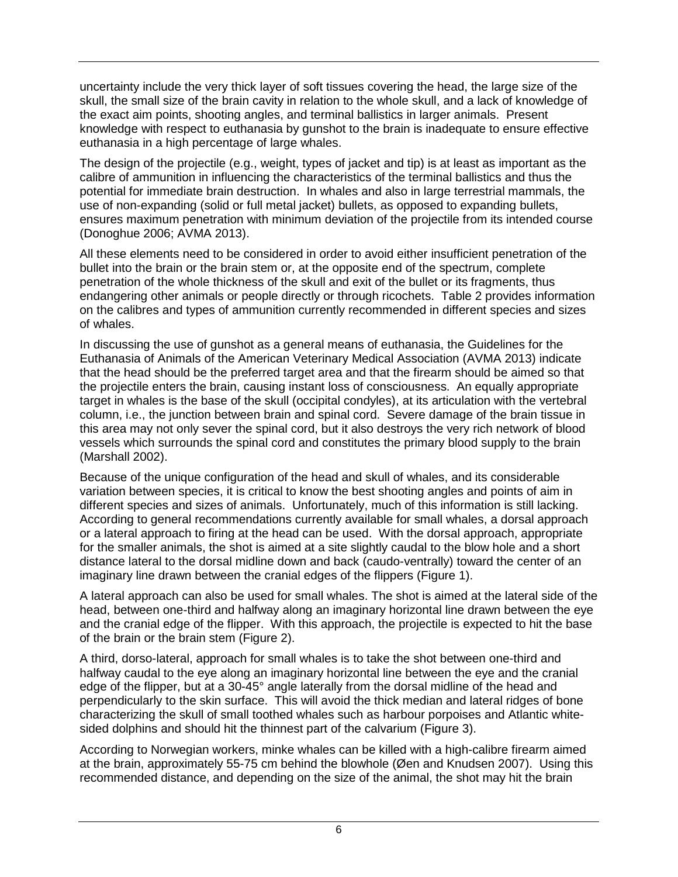uncertainty include the very thick layer of soft tissues covering the head, the large size of the skull, the small size of the brain cavity in relation to the whole skull, and a lack of knowledge of the exact aim points, shooting angles, and terminal ballistics in larger animals. Present knowledge with respect to euthanasia by gunshot to the brain is inadequate to ensure effective euthanasia in a high percentage of large whales.

The design of the projectile (e.g., weight, types of jacket and tip) is at least as important as the calibre of ammunition in influencing the characteristics of the terminal ballistics and thus the potential for immediate brain destruction. In whales and also in large terrestrial mammals, the use of non-expanding (solid or full metal jacket) bullets, as opposed to expanding bullets, ensures maximum penetration with minimum deviation of the projectile from its intended course (Donoghue 2006; AVMA 2013).

All these elements need to be considered in order to avoid either insufficient penetration of the bullet into the brain or the brain stem or, at the opposite end of the spectrum, complete penetration of the whole thickness of the skull and exit of the bullet or its fragments, thus endangering other animals or people directly or through ricochets. Table 2 provides information on the calibres and types of ammunition currently recommended in different species and sizes of whales.

In discussing the use of gunshot as a general means of euthanasia, the Guidelines for the Euthanasia of Animals of the American Veterinary Medical Association (AVMA 2013) indicate that the head should be the preferred target area and that the firearm should be aimed so that the projectile enters the brain, causing instant loss of consciousness. An equally appropriate target in whales is the base of the skull (occipital condyles), at its articulation with the vertebral column, i.e., the junction between brain and spinal cord. Severe damage of the brain tissue in this area may not only sever the spinal cord, but it also destroys the very rich network of blood vessels which surrounds the spinal cord and constitutes the primary blood supply to the brain (Marshall 2002).

Because of the unique configuration of the head and skull of whales, and its considerable variation between species, it is critical to know the best shooting angles and points of aim in different species and sizes of animals. Unfortunately, much of this information is still lacking. According to general recommendations currently available for small whales, a dorsal approach or a lateral approach to firing at the head can be used. With the dorsal approach, appropriate for the smaller animals, the shot is aimed at a site slightly caudal to the blow hole and a short distance lateral to the dorsal midline down and back (caudo-ventrally) toward the center of an imaginary line drawn between the cranial edges of the flippers (Figure 1).

A lateral approach can also be used for small whales. The shot is aimed at the lateral side of the head, between one-third and halfway along an imaginary horizontal line drawn between the eye and the cranial edge of the flipper. With this approach, the projectile is expected to hit the base of the brain or the brain stem (Figure 2).

A third, dorso-lateral, approach for small whales is to take the shot between one-third and halfway caudal to the eye along an imaginary horizontal line between the eye and the cranial edge of the flipper, but at a 30-45° angle laterally from the dorsal midline of the head and perpendicularly to the skin surface. This will avoid the thick median and lateral ridges of bone characterizing the skull of small toothed whales such as harbour porpoises and Atlantic whitesided dolphins and should hit the thinnest part of the calvarium (Figure 3).

According to Norwegian workers, minke whales can be killed with a high-calibre firearm aimed at the brain, approximately 55-75 cm behind the blowhole (Øen and Knudsen 2007). Using this recommended distance, and depending on the size of the animal, the shot may hit the brain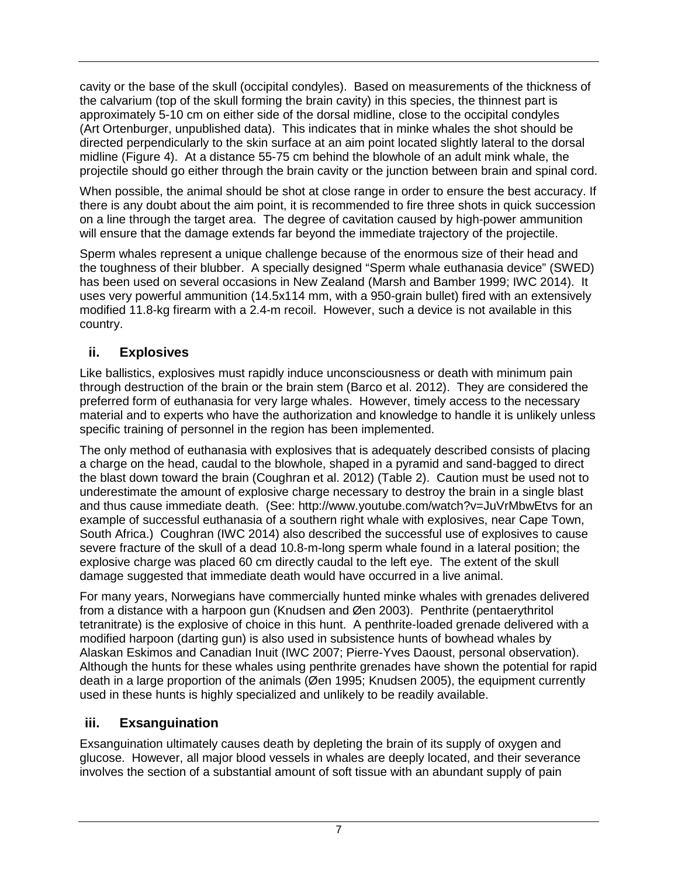cavity or the base of the skull (occipital condyles). Based on measurements of the thickness of the calvarium (top of the skull forming the brain cavity) in this species, the thinnest part is approximately 5-10 cm on either side of the dorsal midline, close to the occipital condyles (Art Ortenburger, unpublished data). This indicates that in minke whales the shot should be directed perpendicularly to the skin surface at an aim point located slightly lateral to the dorsal midline (Figure 4). At a distance 55-75 cm behind the blowhole of an adult mink whale, the projectile should go either through the brain cavity or the junction between brain and spinal cord.

When possible, the animal should be shot at close range in order to ensure the best accuracy. If there is any doubt about the aim point, it is recommended to fire three shots in quick succession on a line through the target area. The degree of cavitation caused by high-power ammunition will ensure that the damage extends far beyond the immediate trajectory of the projectile.

Sperm whales represent a unique challenge because of the enormous size of their head and the toughness of their blubber. A specially designed "Sperm whale euthanasia device" (SWED) has been used on several occasions in New Zealand (Marsh and Bamber 1999; IWC 2014). It uses very powerful ammunition (14.5x114 mm, with a 950-grain bullet) fired with an extensively modified 11.8-kg firearm with a 2.4-m recoil. However, such a device is not available in this country.

## <span id="page-13-0"></span>**ii. Explosives**

Like ballistics, explosives must rapidly induce unconsciousness or death with minimum pain through destruction of the brain or the brain stem (Barco et al. 2012). They are considered the preferred form of euthanasia for very large whales. However, timely access to the necessary material and to experts who have the authorization and knowledge to handle it is unlikely unless specific training of personnel in the region has been implemented.

The only method of euthanasia with explosives that is adequately described consists of placing a charge on the head, caudal to the blowhole, shaped in a pyramid and sand-bagged to direct the blast down toward the brain (Coughran et al. 2012) (Table 2). Caution must be used not to underestimate the amount of explosive charge necessary to destroy the brain in a single blast and thus cause immediate death. (See: http://www.youtube.com/watch?v=JuVrMbwEtvs for an example of successful euthanasia of a southern right whale with explosives, near Cape Town, South Africa.) Coughran (IWC 2014) also described the successful use of explosives to cause severe fracture of the skull of a dead 10.8-m-long sperm whale found in a lateral position; the explosive charge was placed 60 cm directly caudal to the left eye. The extent of the skull damage suggested that immediate death would have occurred in a live animal.

For many years, Norwegians have commercially hunted minke whales with grenades delivered from a distance with a harpoon gun (Knudsen and Øen 2003). Penthrite (pentaerythritol tetranitrate) is the explosive of choice in this hunt. A penthrite-loaded grenade delivered with a modified harpoon (darting gun) is also used in subsistence hunts of bowhead whales by Alaskan Eskimos and Canadian Inuit (IWC 2007; Pierre-Yves Daoust, personal observation). Although the hunts for these whales using penthrite grenades have shown the potential for rapid death in a large proportion of the animals (Øen 1995; Knudsen 2005), the equipment currently used in these hunts is highly specialized and unlikely to be readily available.

## <span id="page-13-1"></span>**iii. Exsanguination**

Exsanguination ultimately causes death by depleting the brain of its supply of oxygen and glucose. However, all major blood vessels in whales are deeply located, and their severance involves the section of a substantial amount of soft tissue with an abundant supply of pain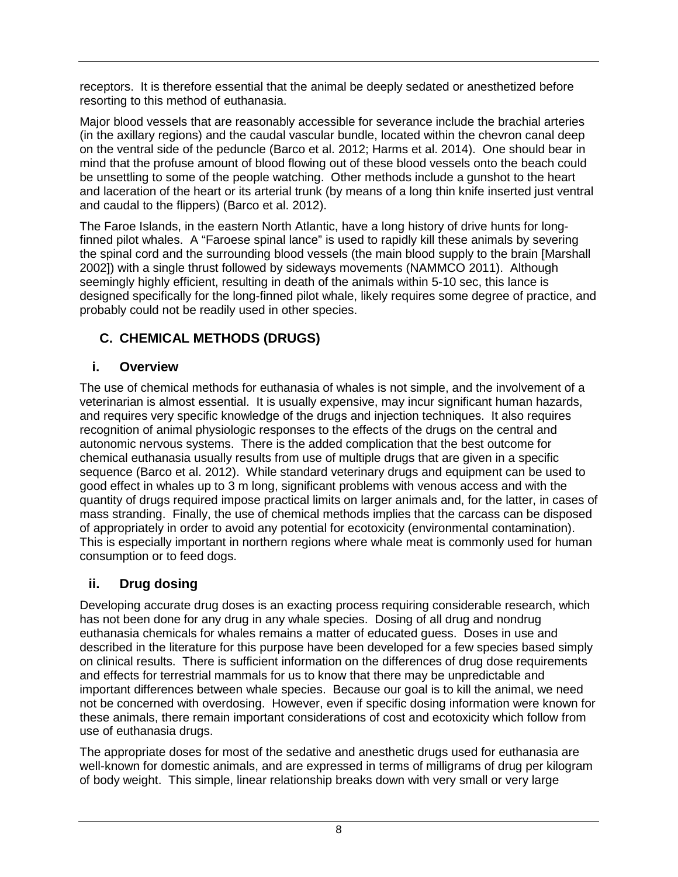receptors. It is therefore essential that the animal be deeply sedated or anesthetized before resorting to this method of euthanasia.

Major blood vessels that are reasonably accessible for severance include the brachial arteries (in the axillary regions) and the caudal vascular bundle, located within the chevron canal deep on the ventral side of the peduncle (Barco et al. 2012; Harms et al. 2014). One should bear in mind that the profuse amount of blood flowing out of these blood vessels onto the beach could be unsettling to some of the people watching. Other methods include a gunshot to the heart and laceration of the heart or its arterial trunk (by means of a long thin knife inserted just ventral and caudal to the flippers) (Barco et al. 2012).

The Faroe Islands, in the eastern North Atlantic, have a long history of drive hunts for longfinned pilot whales. A "Faroese spinal lance" is used to rapidly kill these animals by severing the spinal cord and the surrounding blood vessels (the main blood supply to the brain [Marshall 2002]) with a single thrust followed by sideways movements (NAMMCO 2011). Although seemingly highly efficient, resulting in death of the animals within 5-10 sec, this lance is designed specifically for the long-finned pilot whale, likely requires some degree of practice, and probably could not be readily used in other species.

# <span id="page-14-0"></span>**C. CHEMICAL METHODS (DRUGS)**

# <span id="page-14-1"></span>**i. Overview**

The use of chemical methods for euthanasia of whales is not simple, and the involvement of a veterinarian is almost essential. It is usually expensive, may incur significant human hazards, and requires very specific knowledge of the drugs and injection techniques. It also requires recognition of animal physiologic responses to the effects of the drugs on the central and autonomic nervous systems. There is the added complication that the best outcome for chemical euthanasia usually results from use of multiple drugs that are given in a specific sequence (Barco et al. 2012). While standard veterinary drugs and equipment can be used to good effect in whales up to 3 m long, significant problems with venous access and with the quantity of drugs required impose practical limits on larger animals and, for the latter, in cases of mass stranding. Finally, the use of chemical methods implies that the carcass can be disposed of appropriately in order to avoid any potential for ecotoxicity (environmental contamination). This is especially important in northern regions where whale meat is commonly used for human consumption or to feed dogs.

# <span id="page-14-2"></span>**ii. Drug dosing**

Developing accurate drug doses is an exacting process requiring considerable research, which has not been done for any drug in any whale species. Dosing of all drug and nondrug euthanasia chemicals for whales remains a matter of educated guess. Doses in use and described in the literature for this purpose have been developed for a few species based simply on clinical results. There is sufficient information on the differences of drug dose requirements and effects for terrestrial mammals for us to know that there may be unpredictable and important differences between whale species. Because our goal is to kill the animal, we need not be concerned with overdosing. However, even if specific dosing information were known for these animals, there remain important considerations of cost and ecotoxicity which follow from use of euthanasia drugs.

The appropriate doses for most of the sedative and anesthetic drugs used for euthanasia are well-known for domestic animals, and are expressed in terms of milligrams of drug per kilogram of body weight. This simple, linear relationship breaks down with very small or very large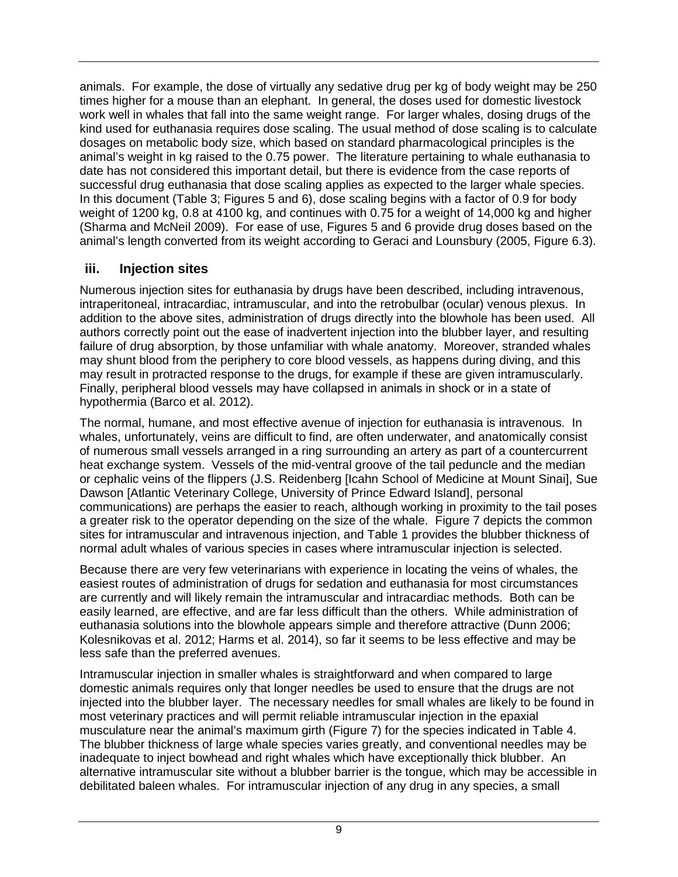animals. For example, the dose of virtually any sedative drug per kg of body weight may be 250 times higher for a mouse than an elephant. In general, the doses used for domestic livestock work well in whales that fall into the same weight range. For larger whales, dosing drugs of the kind used for euthanasia requires dose scaling. The usual method of dose scaling is to calculate dosages on metabolic body size, which based on standard pharmacological principles is the animal's weight in kg raised to the 0.75 power. The literature pertaining to whale euthanasia to date has not considered this important detail, but there is evidence from the case reports of successful drug euthanasia that dose scaling applies as expected to the larger whale species. In this document (Table 3; Figures 5 and 6), dose scaling begins with a factor of 0.9 for body weight of 1200 kg, 0.8 at 4100 kg, and continues with 0.75 for a weight of 14,000 kg and higher (Sharma and McNeil 2009). For ease of use, Figures 5 and 6 provide drug doses based on the animal's length converted from its weight according to Geraci and Lounsbury (2005, Figure 6.3).

## <span id="page-15-0"></span>**iii. Injection sites**

Numerous injection sites for euthanasia by drugs have been described, including intravenous, intraperitoneal, intracardiac, intramuscular, and into the retrobulbar (ocular) venous plexus. In addition to the above sites, administration of drugs directly into the blowhole has been used. All authors correctly point out the ease of inadvertent injection into the blubber layer, and resulting failure of drug absorption, by those unfamiliar with whale anatomy. Moreover, stranded whales may shunt blood from the periphery to core blood vessels, as happens during diving, and this may result in protracted response to the drugs, for example if these are given intramuscularly. Finally, peripheral blood vessels may have collapsed in animals in shock or in a state of hypothermia (Barco et al. 2012).

The normal, humane, and most effective avenue of injection for euthanasia is intravenous. In whales, unfortunately, veins are difficult to find, are often underwater, and anatomically consist of numerous small vessels arranged in a ring surrounding an artery as part of a countercurrent heat exchange system. Vessels of the mid-ventral groove of the tail peduncle and the median or cephalic veins of the flippers (J.S. Reidenberg [Icahn School of Medicine at Mount Sinai], Sue Dawson [Atlantic Veterinary College, University of Prince Edward Island], personal communications) are perhaps the easier to reach, although working in proximity to the tail poses a greater risk to the operator depending on the size of the whale. Figure 7 depicts the common sites for intramuscular and intravenous injection, and Table 1 provides the blubber thickness of normal adult whales of various species in cases where intramuscular injection is selected.

Because there are very few veterinarians with experience in locating the veins of whales, the easiest routes of administration of drugs for sedation and euthanasia for most circumstances are currently and will likely remain the intramuscular and intracardiac methods. Both can be easily learned, are effective, and are far less difficult than the others. While administration of euthanasia solutions into the blowhole appears simple and therefore attractive (Dunn 2006; Kolesnikovas et al. 2012; Harms et al. 2014), so far it seems to be less effective and may be less safe than the preferred avenues.

Intramuscular injection in smaller whales is straightforward and when compared to large domestic animals requires only that longer needles be used to ensure that the drugs are not injected into the blubber layer. The necessary needles for small whales are likely to be found in most veterinary practices and will permit reliable intramuscular injection in the epaxial musculature near the animal's maximum girth (Figure 7) for the species indicated in Table 4. The blubber thickness of large whale species varies greatly, and conventional needles may be inadequate to inject bowhead and right whales which have exceptionally thick blubber. An alternative intramuscular site without a blubber barrier is the tongue, which may be accessible in debilitated baleen whales. For intramuscular injection of any drug in any species, a small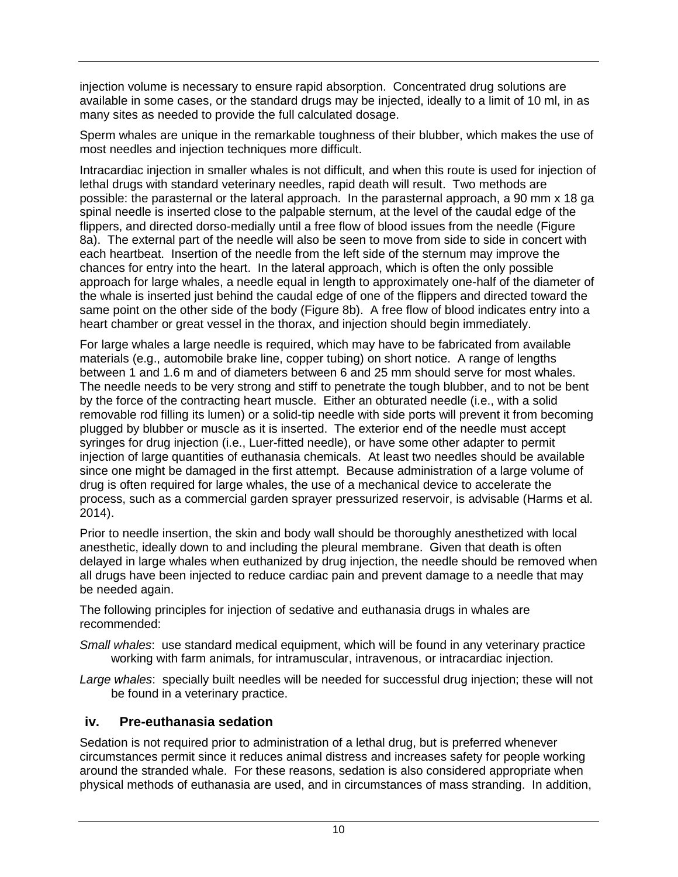injection volume is necessary to ensure rapid absorption. Concentrated drug solutions are available in some cases, or the standard drugs may be injected, ideally to a limit of 10 ml, in as many sites as needed to provide the full calculated dosage.

Sperm whales are unique in the remarkable toughness of their blubber, which makes the use of most needles and injection techniques more difficult.

Intracardiac injection in smaller whales is not difficult, and when this route is used for injection of lethal drugs with standard veterinary needles, rapid death will result. Two methods are possible: the parasternal or the lateral approach. In the parasternal approach, a 90 mm x 18 ga spinal needle is inserted close to the palpable sternum, at the level of the caudal edge of the flippers, and directed dorso-medially until a free flow of blood issues from the needle (Figure 8a). The external part of the needle will also be seen to move from side to side in concert with each heartbeat. Insertion of the needle from the left side of the sternum may improve the chances for entry into the heart. In the lateral approach, which is often the only possible approach for large whales, a needle equal in length to approximately one-half of the diameter of the whale is inserted just behind the caudal edge of one of the flippers and directed toward the same point on the other side of the body (Figure 8b). A free flow of blood indicates entry into a heart chamber or great vessel in the thorax, and injection should begin immediately.

For large whales a large needle is required, which may have to be fabricated from available materials (e.g., automobile brake line, copper tubing) on short notice. A range of lengths between 1 and 1.6 m and of diameters between 6 and 25 mm should serve for most whales. The needle needs to be very strong and stiff to penetrate the tough blubber, and to not be bent by the force of the contracting heart muscle. Either an obturated needle (i.e., with a solid removable rod filling its lumen) or a solid-tip needle with side ports will prevent it from becoming plugged by blubber or muscle as it is inserted. The exterior end of the needle must accept syringes for drug injection (i.e., Luer-fitted needle), or have some other adapter to permit injection of large quantities of euthanasia chemicals. At least two needles should be available since one might be damaged in the first attempt. Because administration of a large volume of drug is often required for large whales, the use of a mechanical device to accelerate the process, such as a commercial garden sprayer pressurized reservoir, is advisable (Harms et al. 2014).

Prior to needle insertion, the skin and body wall should be thoroughly anesthetized with local anesthetic, ideally down to and including the pleural membrane. Given that death is often delayed in large whales when euthanized by drug injection, the needle should be removed when all drugs have been injected to reduce cardiac pain and prevent damage to a needle that may be needed again.

The following principles for injection of sedative and euthanasia drugs in whales are recommended:

- *Small whales*: use standard medical equipment, which will be found in any veterinary practice working with farm animals, for intramuscular, intravenous, or intracardiac injection.
- *Large whales*: specially built needles will be needed for successful drug injection; these will not be found in a veterinary practice.

### <span id="page-16-0"></span>**iv. Pre-euthanasia sedation**

Sedation is not required prior to administration of a lethal drug, but is preferred whenever circumstances permit since it reduces animal distress and increases safety for people working around the stranded whale. For these reasons, sedation is also considered appropriate when physical methods of euthanasia are used, and in circumstances of mass stranding. In addition,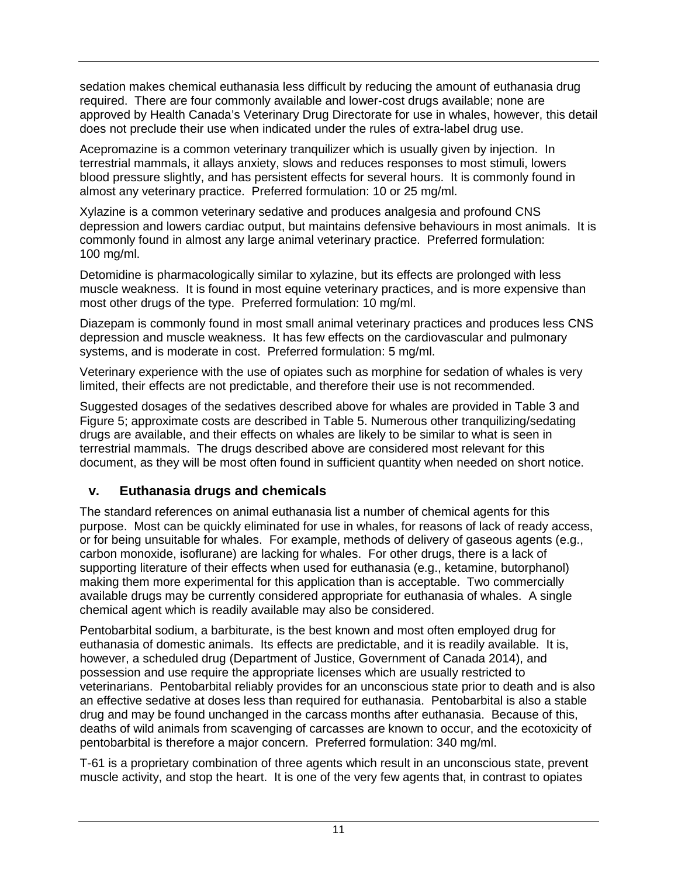sedation makes chemical euthanasia less difficult by reducing the amount of euthanasia drug required. There are four commonly available and lower-cost drugs available; none are approved by Health Canada's Veterinary Drug Directorate for use in whales, however, this detail does not preclude their use when indicated under the rules of extra-label drug use.

Acepromazine is a common veterinary tranquilizer which is usually given by injection. In terrestrial mammals, it allays anxiety, slows and reduces responses to most stimuli, lowers blood pressure slightly, and has persistent effects for several hours. It is commonly found in almost any veterinary practice. Preferred formulation: 10 or 25 mg/ml.

Xylazine is a common veterinary sedative and produces analgesia and profound CNS depression and lowers cardiac output, but maintains defensive behaviours in most animals. It is commonly found in almost any large animal veterinary practice. Preferred formulation: 100 mg/ml.

Detomidine is pharmacologically similar to xylazine, but its effects are prolonged with less muscle weakness. It is found in most equine veterinary practices, and is more expensive than most other drugs of the type. Preferred formulation: 10 mg/ml.

Diazepam is commonly found in most small animal veterinary practices and produces less CNS depression and muscle weakness. It has few effects on the cardiovascular and pulmonary systems, and is moderate in cost. Preferred formulation: 5 mg/ml.

Veterinary experience with the use of opiates such as morphine for sedation of whales is very limited, their effects are not predictable, and therefore their use is not recommended.

Suggested dosages of the sedatives described above for whales are provided in Table 3 and Figure 5; approximate costs are described in Table 5. Numerous other tranquilizing/sedating drugs are available, and their effects on whales are likely to be similar to what is seen in terrestrial mammals. The drugs described above are considered most relevant for this document, as they will be most often found in sufficient quantity when needed on short notice.

### <span id="page-17-0"></span>**v. Euthanasia drugs and chemicals**

The standard references on animal euthanasia list a number of chemical agents for this purpose. Most can be quickly eliminated for use in whales, for reasons of lack of ready access, or for being unsuitable for whales. For example, methods of delivery of gaseous agents (e.g., carbon monoxide, isoflurane) are lacking for whales. For other drugs, there is a lack of supporting literature of their effects when used for euthanasia (e.g., ketamine, butorphanol) making them more experimental for this application than is acceptable. Two commercially available drugs may be currently considered appropriate for euthanasia of whales. A single chemical agent which is readily available may also be considered.

Pentobarbital sodium, a barbiturate, is the best known and most often employed drug for euthanasia of domestic animals. Its effects are predictable, and it is readily available. It is, however, a scheduled drug (Department of Justice, Government of Canada 2014), and possession and use require the appropriate licenses which are usually restricted to veterinarians. Pentobarbital reliably provides for an unconscious state prior to death and is also an effective sedative at doses less than required for euthanasia. Pentobarbital is also a stable drug and may be found unchanged in the carcass months after euthanasia. Because of this, deaths of wild animals from scavenging of carcasses are known to occur, and the ecotoxicity of pentobarbital is therefore a major concern. Preferred formulation: 340 mg/ml.

T-61 is a proprietary combination of three agents which result in an unconscious state, prevent muscle activity, and stop the heart. It is one of the very few agents that, in contrast to opiates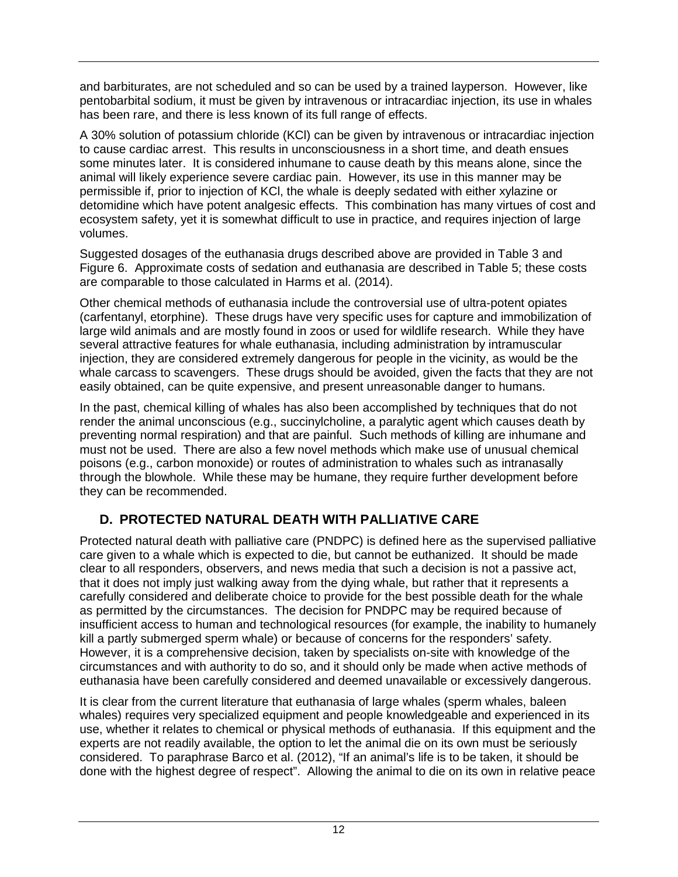and barbiturates, are not scheduled and so can be used by a trained layperson. However, like pentobarbital sodium, it must be given by intravenous or intracardiac injection, its use in whales has been rare, and there is less known of its full range of effects.

A 30% solution of potassium chloride (KCl) can be given by intravenous or intracardiac injection to cause cardiac arrest. This results in unconsciousness in a short time, and death ensues some minutes later. It is considered inhumane to cause death by this means alone, since the animal will likely experience severe cardiac pain. However, its use in this manner may be permissible if, prior to injection of KCl, the whale is deeply sedated with either xylazine or detomidine which have potent analgesic effects. This combination has many virtues of cost and ecosystem safety, yet it is somewhat difficult to use in practice, and requires injection of large volumes.

Suggested dosages of the euthanasia drugs described above are provided in Table 3 and Figure 6. Approximate costs of sedation and euthanasia are described in Table 5; these costs are comparable to those calculated in Harms et al. (2014).

Other chemical methods of euthanasia include the controversial use of ultra-potent opiates (carfentanyl, etorphine). These drugs have very specific uses for capture and immobilization of large wild animals and are mostly found in zoos or used for wildlife research. While they have several attractive features for whale euthanasia, including administration by intramuscular injection, they are considered extremely dangerous for people in the vicinity, as would be the whale carcass to scavengers. These drugs should be avoided, given the facts that they are not easily obtained, can be quite expensive, and present unreasonable danger to humans.

In the past, chemical killing of whales has also been accomplished by techniques that do not render the animal unconscious (e.g., succinylcholine, a paralytic agent which causes death by preventing normal respiration) and that are painful. Such methods of killing are inhumane and must not be used. There are also a few novel methods which make use of unusual chemical poisons (e.g., carbon monoxide) or routes of administration to whales such as intranasally through the blowhole. While these may be humane, they require further development before they can be recommended.

# <span id="page-18-0"></span>**D. PROTECTED NATURAL DEATH WITH PALLIATIVE CARE**

Protected natural death with palliative care (PNDPC) is defined here as the supervised palliative care given to a whale which is expected to die, but cannot be euthanized. It should be made clear to all responders, observers, and news media that such a decision is not a passive act, that it does not imply just walking away from the dying whale, but rather that it represents a carefully considered and deliberate choice to provide for the best possible death for the whale as permitted by the circumstances. The decision for PNDPC may be required because of insufficient access to human and technological resources (for example, the inability to humanely kill a partly submerged sperm whale) or because of concerns for the responders' safety. However, it is a comprehensive decision, taken by specialists on-site with knowledge of the circumstances and with authority to do so, and it should only be made when active methods of euthanasia have been carefully considered and deemed unavailable or excessively dangerous.

It is clear from the current literature that euthanasia of large whales (sperm whales, baleen whales) requires very specialized equipment and people knowledgeable and experienced in its use, whether it relates to chemical or physical methods of euthanasia. If this equipment and the experts are not readily available, the option to let the animal die on its own must be seriously considered. To paraphrase Barco et al. (2012), "If an animal's life is to be taken, it should be done with the highest degree of respect". Allowing the animal to die on its own in relative peace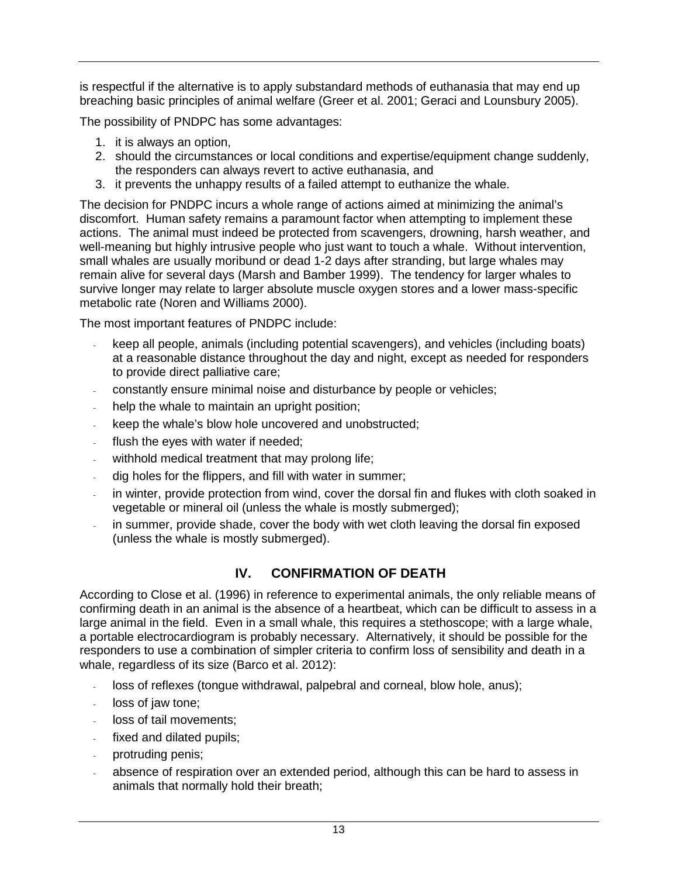is respectful if the alternative is to apply substandard methods of euthanasia that may end up breaching basic principles of animal welfare (Greer et al. 2001; Geraci and Lounsbury 2005).

The possibility of PNDPC has some advantages:

- 1. it is always an option,
- 2. should the circumstances or local conditions and expertise/equipment change suddenly, the responders can always revert to active euthanasia, and
- 3. it prevents the unhappy results of a failed attempt to euthanize the whale.

The decision for PNDPC incurs a whole range of actions aimed at minimizing the animal's discomfort. Human safety remains a paramount factor when attempting to implement these actions. The animal must indeed be protected from scavengers, drowning, harsh weather, and well-meaning but highly intrusive people who just want to touch a whale. Without intervention, small whales are usually moribund or dead 1-2 days after stranding, but large whales may remain alive for several days (Marsh and Bamber 1999). The tendency for larger whales to survive longer may relate to larger absolute muscle oxygen stores and a lower mass-specific metabolic rate (Noren and Williams 2000).

The most important features of PNDPC include:

- keep all people, animals (including potential scavengers), and vehicles (including boats) at a reasonable distance throughout the day and night, except as needed for responders to provide direct palliative care;
- constantly ensure minimal noise and disturbance by people or vehicles;
- help the whale to maintain an upright position;
- keep the whale's blow hole uncovered and unobstructed;
- flush the eyes with water if needed;
- withhold medical treatment that may prolong life;
- dig holes for the flippers, and fill with water in summer;
- in winter, provide protection from wind, cover the dorsal fin and flukes with cloth soaked in vegetable or mineral oil (unless the whale is mostly submerged);
- <span id="page-19-0"></span>in summer, provide shade, cover the body with wet cloth leaving the dorsal fin exposed (unless the whale is mostly submerged).

# **IV. CONFIRMATION OF DEATH**

According to Close et al. (1996) in reference to experimental animals, the only reliable means of confirming death in an animal is the absence of a heartbeat, which can be difficult to assess in a large animal in the field. Even in a small whale, this requires a stethoscope; with a large whale, a portable electrocardiogram is probably necessary. Alternatively, it should be possible for the responders to use a combination of simpler criteria to confirm loss of sensibility and death in a whale, regardless of its size (Barco et al. 2012):

- loss of reflexes (tongue withdrawal, palpebral and corneal, blow hole, anus);
- loss of jaw tone;
- loss of tail movements:
- fixed and dilated pupils;
- protruding penis;
- absence of respiration over an extended period, although this can be hard to assess in animals that normally hold their breath;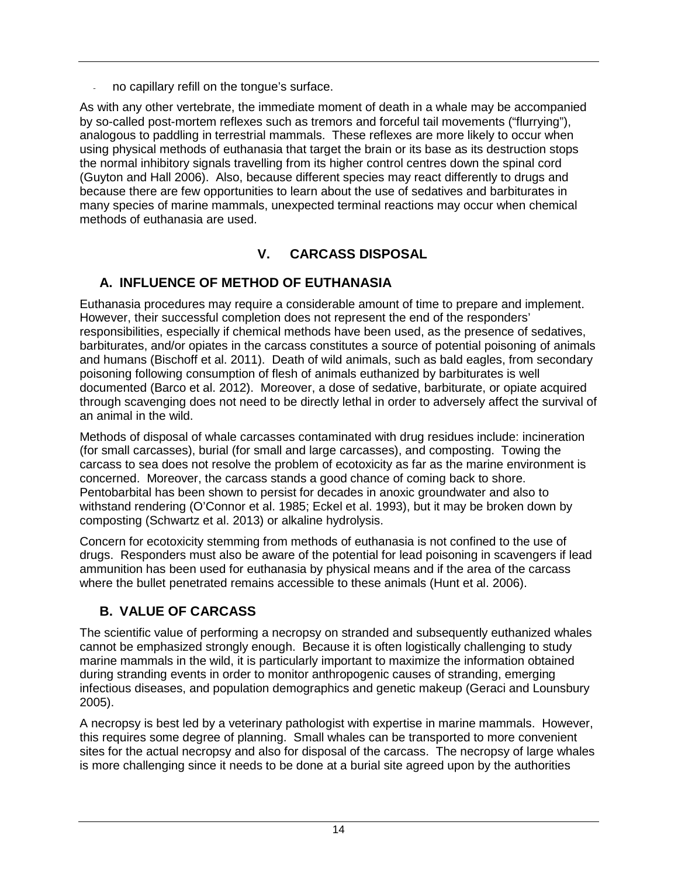no capillary refill on the tongue's surface.

As with any other vertebrate, the immediate moment of death in a whale may be accompanied by so-called post-mortem reflexes such as tremors and forceful tail movements ("flurrying"), analogous to paddling in terrestrial mammals. These reflexes are more likely to occur when using physical methods of euthanasia that target the brain or its base as its destruction stops the normal inhibitory signals travelling from its higher control centres down the spinal cord (Guyton and Hall 2006). Also, because different species may react differently to drugs and because there are few opportunities to learn about the use of sedatives and barbiturates in many species of marine mammals, unexpected terminal reactions may occur when chemical methods of euthanasia are used.

# **V. CARCASS DISPOSAL**

# <span id="page-20-1"></span><span id="page-20-0"></span>**A. INFLUENCE OF METHOD OF EUTHANASIA**

Euthanasia procedures may require a considerable amount of time to prepare and implement. However, their successful completion does not represent the end of the responders' responsibilities, especially if chemical methods have been used, as the presence of sedatives, barbiturates, and/or opiates in the carcass constitutes a source of potential poisoning of animals and humans (Bischoff et al. 2011). Death of wild animals, such as bald eagles, from secondary poisoning following consumption of flesh of animals euthanized by barbiturates is well documented (Barco et al. 2012). Moreover, a dose of sedative, barbiturate, or opiate acquired through scavenging does not need to be directly lethal in order to adversely affect the survival of an animal in the wild.

Methods of disposal of whale carcasses contaminated with drug residues include: incineration (for small carcasses), burial (for small and large carcasses), and composting. Towing the carcass to sea does not resolve the problem of ecotoxicity as far as the marine environment is concerned. Moreover, the carcass stands a good chance of coming back to shore. Pentobarbital has been shown to persist for decades in anoxic groundwater and also to withstand rendering (O'Connor et al. 1985; Eckel et al. 1993), but it may be broken down by composting (Schwartz et al. 2013) or alkaline hydrolysis.

Concern for ecotoxicity stemming from methods of euthanasia is not confined to the use of drugs. Responders must also be aware of the potential for lead poisoning in scavengers if lead ammunition has been used for euthanasia by physical means and if the area of the carcass where the bullet penetrated remains accessible to these animals (Hunt et al. 2006).

# <span id="page-20-2"></span>**B. VALUE OF CARCASS**

The scientific value of performing a necropsy on stranded and subsequently euthanized whales cannot be emphasized strongly enough. Because it is often logistically challenging to study marine mammals in the wild, it is particularly important to maximize the information obtained during stranding events in order to monitor anthropogenic causes of stranding, emerging infectious diseases, and population demographics and genetic makeup (Geraci and Lounsbury 2005).

A necropsy is best led by a veterinary pathologist with expertise in marine mammals. However, this requires some degree of planning. Small whales can be transported to more convenient sites for the actual necropsy and also for disposal of the carcass. The necropsy of large whales is more challenging since it needs to be done at a burial site agreed upon by the authorities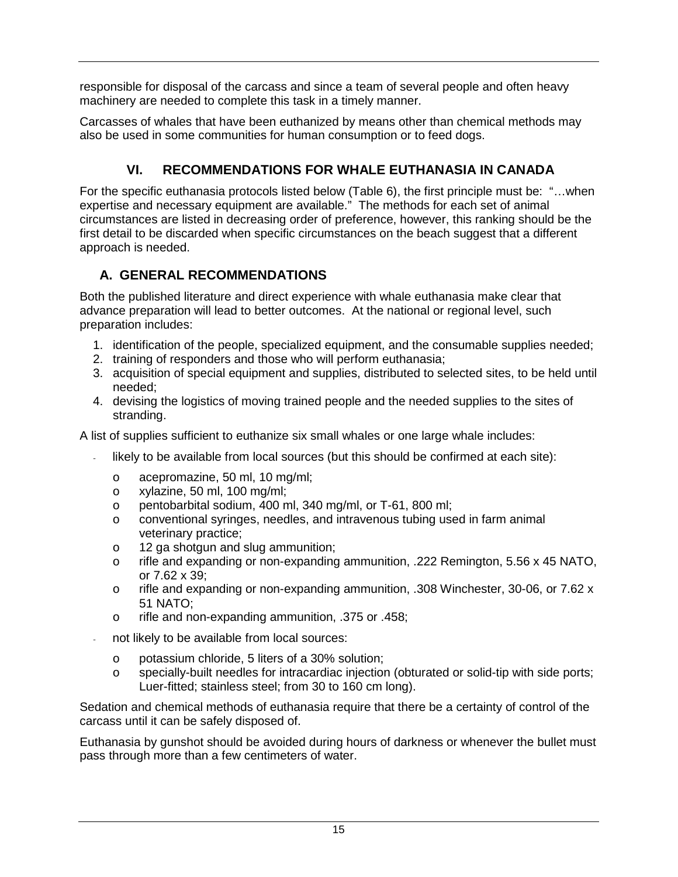responsible for disposal of the carcass and since a team of several people and often heavy machinery are needed to complete this task in a timely manner.

Carcasses of whales that have been euthanized by means other than chemical methods may also be used in some communities for human consumption or to feed dogs.

# **VI. RECOMMENDATIONS FOR WHALE EUTHANASIA IN CANADA**

<span id="page-21-0"></span>For the specific euthanasia protocols listed below (Table 6), the first principle must be: "…when expertise and necessary equipment are available." The methods for each set of animal circumstances are listed in decreasing order of preference, however, this ranking should be the first detail to be discarded when specific circumstances on the beach suggest that a different approach is needed.

## <span id="page-21-1"></span>**A. GENERAL RECOMMENDATIONS**

Both the published literature and direct experience with whale euthanasia make clear that advance preparation will lead to better outcomes. At the national or regional level, such preparation includes:

- 1. identification of the people, specialized equipment, and the consumable supplies needed;
- 2. training of responders and those who will perform euthanasia;
- 3. acquisition of special equipment and supplies, distributed to selected sites, to be held until needed;
- 4. devising the logistics of moving trained people and the needed supplies to the sites of stranding.

A list of supplies sufficient to euthanize six small whales or one large whale includes:

- likely to be available from local sources (but this should be confirmed at each site):
	- o acepromazine, 50 ml, 10 mg/ml;
	- o xylazine, 50 ml, 100 mg/ml;
	- o pentobarbital sodium, 400 ml, 340 mg/ml, or T-61, 800 ml;
	- o conventional syringes, needles, and intravenous tubing used in farm animal veterinary practice;
	- o 12 ga shotgun and slug ammunition;
	- o rifle and expanding or non-expanding ammunition, .222 Remington, 5.56 x 45 NATO, or 7.62 x 39;
	- o rifle and expanding or non-expanding ammunition, .308 Winchester, 30-06, or 7.62 x 51 NATO;
	- o rifle and non-expanding ammunition, .375 or .458;
- not likely to be available from local sources:
	- o potassium chloride, 5 liters of a 30% solution;
	- o specially-built needles for intracardiac injection (obturated or solid-tip with side ports; Luer-fitted; stainless steel; from 30 to 160 cm long).

Sedation and chemical methods of euthanasia require that there be a certainty of control of the carcass until it can be safely disposed of.

Euthanasia by gunshot should be avoided during hours of darkness or whenever the bullet must pass through more than a few centimeters of water.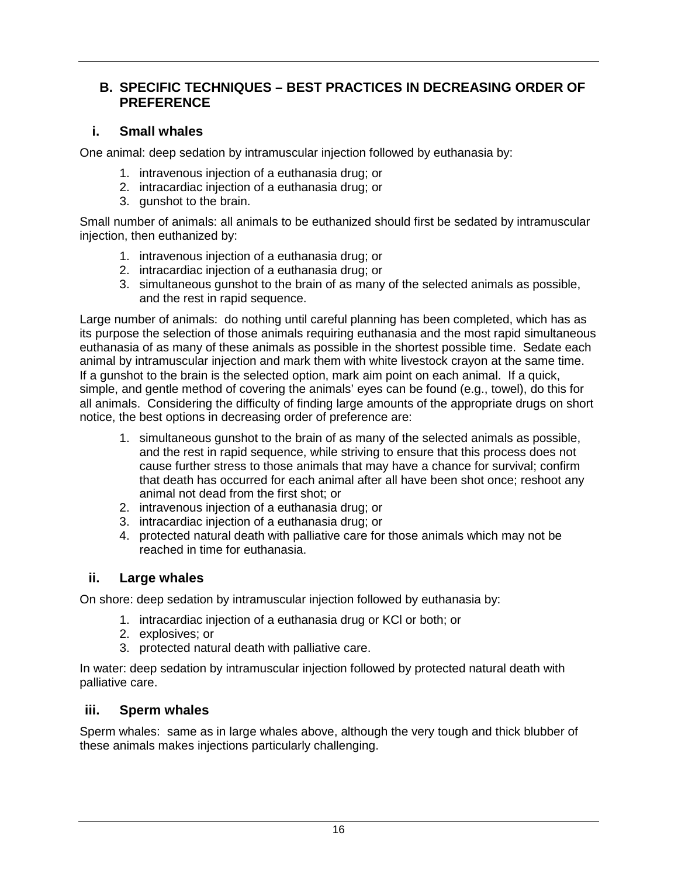### <span id="page-22-0"></span>**B. SPECIFIC TECHNIQUES – BEST PRACTICES IN DECREASING ORDER OF PREFERENCE**

### <span id="page-22-1"></span>**i. Small whales**

One animal: deep sedation by intramuscular injection followed by euthanasia by:

- 1. intravenous injection of a euthanasia drug; or
- 2. intracardiac injection of a euthanasia drug; or
- 3. gunshot to the brain.

Small number of animals: all animals to be euthanized should first be sedated by intramuscular injection, then euthanized by:

- 1. intravenous injection of a euthanasia drug; or
- 2. intracardiac injection of a euthanasia drug; or
- 3. simultaneous gunshot to the brain of as many of the selected animals as possible, and the rest in rapid sequence.

Large number of animals: do nothing until careful planning has been completed, which has as its purpose the selection of those animals requiring euthanasia and the most rapid simultaneous euthanasia of as many of these animals as possible in the shortest possible time. Sedate each animal by intramuscular injection and mark them with white livestock crayon at the same time. If a gunshot to the brain is the selected option, mark aim point on each animal. If a quick, simple, and gentle method of covering the animals' eyes can be found (e.g., towel), do this for all animals. Considering the difficulty of finding large amounts of the appropriate drugs on short notice, the best options in decreasing order of preference are:

- 1. simultaneous gunshot to the brain of as many of the selected animals as possible, and the rest in rapid sequence, while striving to ensure that this process does not cause further stress to those animals that may have a chance for survival; confirm that death has occurred for each animal after all have been shot once; reshoot any animal not dead from the first shot; or
- 2. intravenous injection of a euthanasia drug; or
- 3. intracardiac injection of a euthanasia drug; or
- 4. protected natural death with palliative care for those animals which may not be reached in time for euthanasia.

## <span id="page-22-2"></span>**ii. Large whales**

On shore: deep sedation by intramuscular injection followed by euthanasia by:

- 1. intracardiac injection of a euthanasia drug or KCl or both; or
- 2. explosives; or
- 3. protected natural death with palliative care.

In water: deep sedation by intramuscular injection followed by protected natural death with palliative care.

### <span id="page-22-3"></span>**iii. Sperm whales**

Sperm whales: same as in large whales above, although the very tough and thick blubber of these animals makes injections particularly challenging.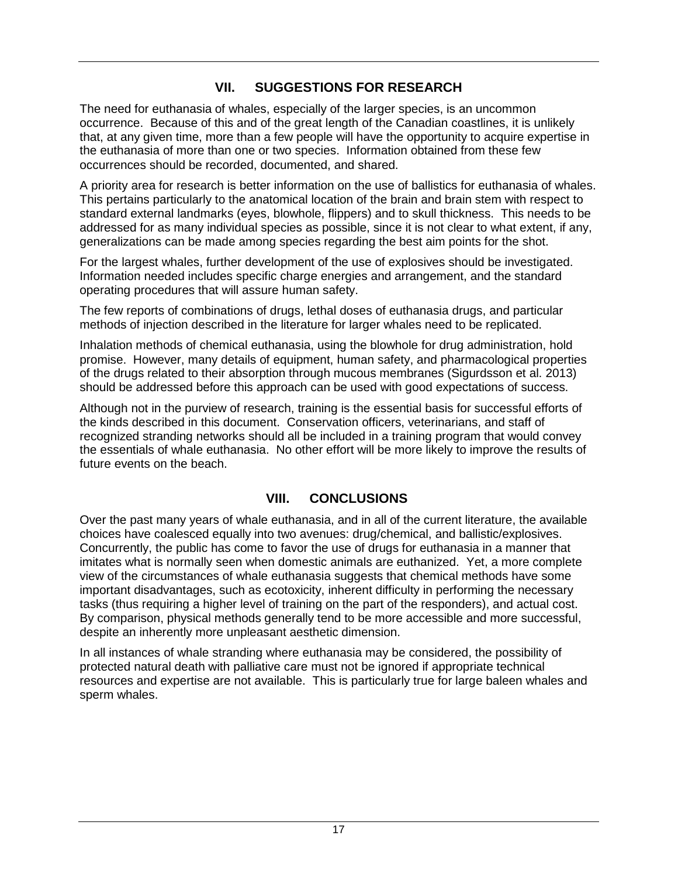## **VII. SUGGESTIONS FOR RESEARCH**

<span id="page-23-0"></span>The need for euthanasia of whales, especially of the larger species, is an uncommon occurrence. Because of this and of the great length of the Canadian coastlines, it is unlikely that, at any given time, more than a few people will have the opportunity to acquire expertise in the euthanasia of more than one or two species. Information obtained from these few occurrences should be recorded, documented, and shared.

A priority area for research is better information on the use of ballistics for euthanasia of whales. This pertains particularly to the anatomical location of the brain and brain stem with respect to standard external landmarks (eyes, blowhole, flippers) and to skull thickness. This needs to be addressed for as many individual species as possible, since it is not clear to what extent, if any, generalizations can be made among species regarding the best aim points for the shot.

For the largest whales, further development of the use of explosives should be investigated. Information needed includes specific charge energies and arrangement, and the standard operating procedures that will assure human safety.

The few reports of combinations of drugs, lethal doses of euthanasia drugs, and particular methods of injection described in the literature for larger whales need to be replicated.

Inhalation methods of chemical euthanasia, using the blowhole for drug administration, hold promise. However, many details of equipment, human safety, and pharmacological properties of the drugs related to their absorption through mucous membranes (Sigurdsson et al. 2013) should be addressed before this approach can be used with good expectations of success.

Although not in the purview of research, training is the essential basis for successful efforts of the kinds described in this document. Conservation officers, veterinarians, and staff of recognized stranding networks should all be included in a training program that would convey the essentials of whale euthanasia. No other effort will be more likely to improve the results of future events on the beach.

## **VIII. CONCLUSIONS**

<span id="page-23-1"></span>Over the past many years of whale euthanasia, and in all of the current literature, the available choices have coalesced equally into two avenues: drug/chemical, and ballistic/explosives. Concurrently, the public has come to favor the use of drugs for euthanasia in a manner that imitates what is normally seen when domestic animals are euthanized. Yet, a more complete view of the circumstances of whale euthanasia suggests that chemical methods have some important disadvantages, such as ecotoxicity, inherent difficulty in performing the necessary tasks (thus requiring a higher level of training on the part of the responders), and actual cost. By comparison, physical methods generally tend to be more accessible and more successful, despite an inherently more unpleasant aesthetic dimension.

In all instances of whale stranding where euthanasia may be considered, the possibility of protected natural death with palliative care must not be ignored if appropriate technical resources and expertise are not available. This is particularly true for large baleen whales and sperm whales.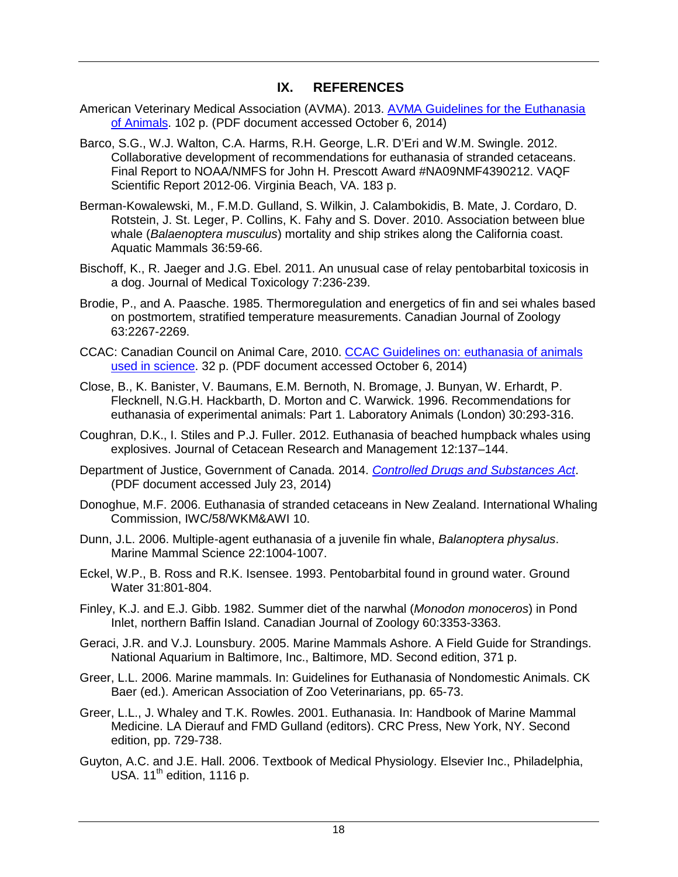### **IX. REFERENCES**

- <span id="page-24-0"></span>American Veterinary Medical Association (AVMA). 2013. AVMA Guidelines for the Euthanasia [of Animals.](https://www.avma.org/KB/Policies/Documents/euthanasia.pdf) 102 p. (PDF document accessed October 6, 2014)
- Barco, S.G., W.J. Walton, C.A. Harms, R.H. George, L.R. D'Eri and W.M. Swingle. 2012. Collaborative development of recommendations for euthanasia of stranded cetaceans. Final Report to NOAA/NMFS for John H. Prescott Award #NA09NMF4390212. VAQF Scientific Report 2012-06. Virginia Beach, VA. 183 p.
- Berman-Kowalewski, M., F.M.D. Gulland, S. Wilkin, J. Calambokidis, B. Mate, J. Cordaro, D. Rotstein, J. St. Leger, P. Collins, K. Fahy and S. Dover. 2010. Association between blue whale (*Balaenoptera musculus*) mortality and ship strikes along the California coast. Aquatic Mammals 36:59-66.
- Bischoff, K., R. Jaeger and J.G. Ebel. 2011. An unusual case of relay pentobarbital toxicosis in a dog. Journal of Medical Toxicology 7:236-239.
- Brodie, P., and A. Paasche. 1985. Thermoregulation and energetics of fin and sei whales based on postmortem, stratified temperature measurements. Canadian Journal of Zoology 63:2267-2269.
- CCAC: Canadian Council on Animal Care, 2010. [CCAC Guidelines on: euthanasia of animals](http://www.ccac.ca/Documents/Standards/Guidelines/Euthanasia.pdf)  [used in science.](http://www.ccac.ca/Documents/Standards/Guidelines/Euthanasia.pdf) 32 p. (PDF document accessed October 6, 2014)
- Close, B., K. Banister, V. Baumans, E.M. Bernoth, N. Bromage, J. Bunyan, W. Erhardt, P. Flecknell, N.G.H. Hackbarth, D. Morton and C. Warwick. 1996. Recommendations for euthanasia of experimental animals: Part 1. Laboratory Animals (London) 30:293-316.
- Coughran, D.K., I. Stiles and P.J. Fuller. 2012. Euthanasia of beached humpback whales using explosives. Journal of Cetacean Research and Management 12:137–144.
- Department of Justice, Government of Canada. 2014. *[Controlled Drugs and Substances Act](http://laws-lois.justice.gc.ca/PDF/C-38.8.pdf)*. (PDF document accessed July 23, 2014)
- Donoghue, M.F. 2006. Euthanasia of stranded cetaceans in New Zealand. International Whaling Commission, IWC/58/WKM&AWI 10.
- Dunn, J.L. 2006. Multiple-agent euthanasia of a juvenile fin whale, *Balanoptera physalus*. Marine Mammal Science 22:1004-1007.
- Eckel, W.P., B. Ross and R.K. Isensee. 1993. Pentobarbital found in ground water. Ground Water 31:801-804.
- Finley, K.J. and E.J. Gibb. 1982. Summer diet of the narwhal (*Monodon monoceros*) in Pond Inlet, northern Baffin Island. Canadian Journal of Zoology 60:3353-3363.
- Geraci, J.R. and V.J. Lounsbury. 2005. Marine Mammals Ashore. A Field Guide for Strandings. National Aquarium in Baltimore, Inc., Baltimore, MD. Second edition, 371 p.
- Greer, L.L. 2006. Marine mammals. In: Guidelines for Euthanasia of Nondomestic Animals. CK Baer (ed.). American Association of Zoo Veterinarians, pp. 65-73.
- Greer, L.L., J. Whaley and T.K. Rowles. 2001. Euthanasia. In: Handbook of Marine Mammal Medicine. LA Dierauf and FMD Gulland (editors). CRC Press, New York, NY. Second edition, pp. 729-738.
- Guyton, A.C. and J.E. Hall. 2006. Textbook of Medical Physiology. Elsevier Inc., Philadelphia, USA. 11<sup>th</sup> edition, 1116 p.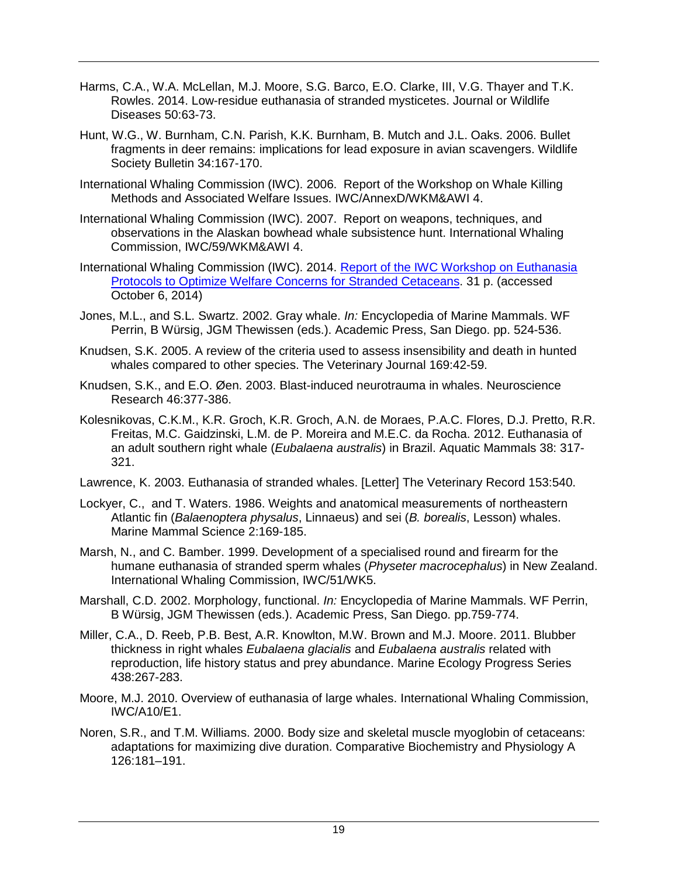- Harms, C.A., W.A. McLellan, M.J. Moore, S.G. Barco, E.O. Clarke, III, V.G. Thayer and T.K. Rowles. 2014. Low-residue euthanasia of stranded mysticetes. Journal or Wildlife Diseases 50:63-73.
- Hunt, W.G., W. Burnham, C.N. Parish, K.K. Burnham, B. Mutch and J.L. Oaks. 2006. Bullet fragments in deer remains: implications for lead exposure in avian scavengers. Wildlife Society Bulletin 34:167-170.
- International Whaling Commission (IWC). 2006. Report of the Workshop on Whale Killing Methods and Associated Welfare Issues. IWC/AnnexD/WKM&AWI 4.
- International Whaling Commission (IWC). 2007. Report on weapons, techniques, and observations in the Alaskan bowhead whale subsistence hunt. International Whaling Commission, IWC/59/WKM&AWI 4.
- International Whaling Commission (IWC). 2014. Report of the IWC Workshop on Euthanasia [Protocols to Optimize Welfare Concerns for Stranded Cetaceans.](http://iwc.int/iwc-report-published-on-stranded-cetaceans-euthana) 31 p. (accessed October 6, 2014)
- Jones, M.L., and S.L. Swartz. 2002. Gray whale. *In:* Encyclopedia of Marine Mammals. WF Perrin, B Würsig, JGM Thewissen (eds.). Academic Press, San Diego. pp. 524-536.
- Knudsen, S.K. 2005. A review of the criteria used to assess insensibility and death in hunted whales compared to other species. The Veterinary Journal 169:42-59.
- Knudsen, S.K., and E.O. Øen. 2003. Blast-induced neurotrauma in whales. Neuroscience Research 46:377-386.
- Kolesnikovas, C.K.M., K.R. Groch, K.R. Groch, A.N. de Moraes, P.A.C. Flores, D.J. Pretto, R.R. Freitas, M.C. Gaidzinski, L.M. de P. Moreira and M.E.C. da Rocha. 2012. Euthanasia of an adult southern right whale (*Eubalaena australis*) in Brazil. Aquatic Mammals 38: 317- 321.
- Lawrence, K. 2003. Euthanasia of stranded whales. [Letter] The Veterinary Record 153:540.
- Lockyer, C., and T. Waters. 1986. Weights and anatomical measurements of northeastern Atlantic fin (*Balaenoptera physalus*, Linnaeus) and sei (*B. borealis*, Lesson) whales. Marine Mammal Science 2:169-185.
- Marsh, N., and C. Bamber. 1999. Development of a specialised round and firearm for the humane euthanasia of stranded sperm whales (*Physeter macrocephalus*) in New Zealand. International Whaling Commission, IWC/51/WK5.
- Marshall, C.D. 2002. Morphology, functional. *In:* Encyclopedia of Marine Mammals. WF Perrin, B Würsig, JGM Thewissen (eds.). Academic Press, San Diego. pp.759-774.
- Miller, C.A., D. Reeb, P.B. Best, A.R. Knowlton, M.W. Brown and M.J. Moore. 2011. Blubber thickness in right whales *Eubalaena glacialis* and *Eubalaena australis* related with reproduction, life history status and prey abundance. Marine Ecology Progress Series 438:267-283.
- Moore, M.J. 2010. Overview of euthanasia of large whales. International Whaling Commission, IWC/A10/E1.
- Noren, S.R., and T.M. Williams. 2000. Body size and skeletal muscle myoglobin of cetaceans: adaptations for maximizing dive duration. Comparative Biochemistry and Physiology A 126:181–191.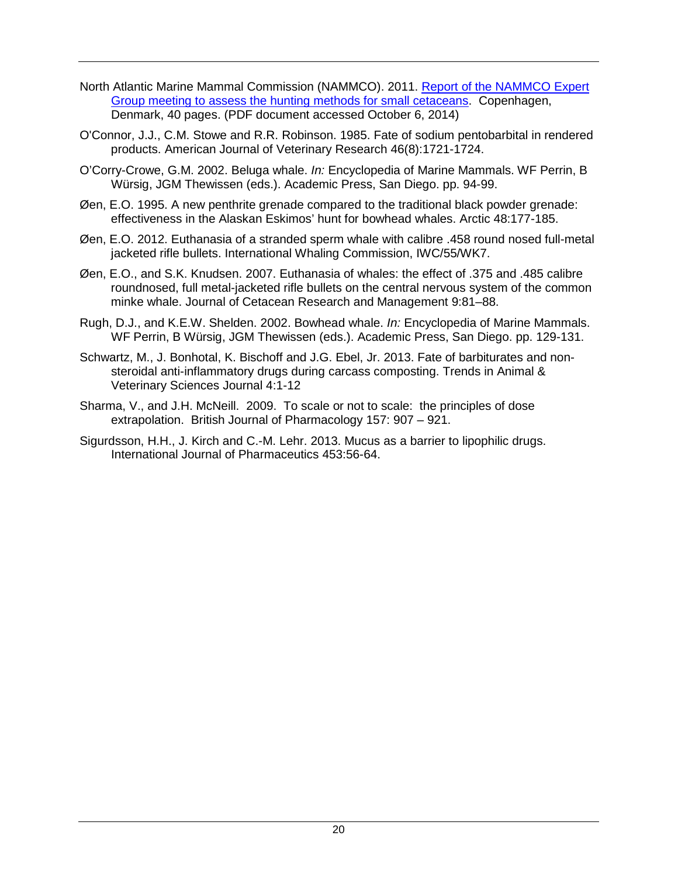- North Atlantic Marine Mammal Commission (NAMMCO). 2011. [Report of the NAMMCO Expert](http://www.nammco.no/webcronize/images/Nammco/970.pdf)  [Group meeting to assess the hunting methods for small cetaceans.](http://www.nammco.no/webcronize/images/Nammco/970.pdf) Copenhagen, Denmark, 40 pages. (PDF document accessed October 6, 2014)
- O'Connor, J.J., C.M. Stowe and R.R. Robinson. 1985. Fate of sodium pentobarbital in rendered products. American Journal of Veterinary Research 46(8):1721-1724.
- O'Corry-Crowe, G.M. 2002. Beluga whale. *In:* Encyclopedia of Marine Mammals. WF Perrin, B Würsig, JGM Thewissen (eds.). Academic Press, San Diego. pp. 94-99.
- Øen, E.O. 1995. A new penthrite grenade compared to the traditional black powder grenade: effectiveness in the Alaskan Eskimos' hunt for bowhead whales. Arctic 48:177-185.
- Øen, E.O. 2012. Euthanasia of a stranded sperm whale with calibre .458 round nosed full-metal jacketed rifle bullets. International Whaling Commission, IWC/55/WK7.
- Øen, E.O., and S.K. Knudsen. 2007. Euthanasia of whales: the effect of .375 and .485 calibre roundnosed, full metal-jacketed rifle bullets on the central nervous system of the common minke whale. Journal of Cetacean Research and Management 9:81–88.
- Rugh, D.J., and K.E.W. Shelden. 2002. Bowhead whale. *In:* Encyclopedia of Marine Mammals. WF Perrin, B Würsig, JGM Thewissen (eds.). Academic Press, San Diego. pp. 129-131.
- Schwartz, M., J. Bonhotal, K. Bischoff and J.G. Ebel, Jr. 2013. Fate of barbiturates and nonsteroidal anti-inflammatory drugs during carcass composting. Trends in Animal & Veterinary Sciences Journal 4:1-12
- Sharma, V., and J.H. McNeill. 2009. To scale or not to scale: the principles of dose extrapolation. British Journal of Pharmacology 157: 907 – 921.
- Sigurdsson, H.H., J. Kirch and C.-M. Lehr. 2013. Mucus as a barrier to lipophilic drugs. International Journal of Pharmaceutics 453:56-64.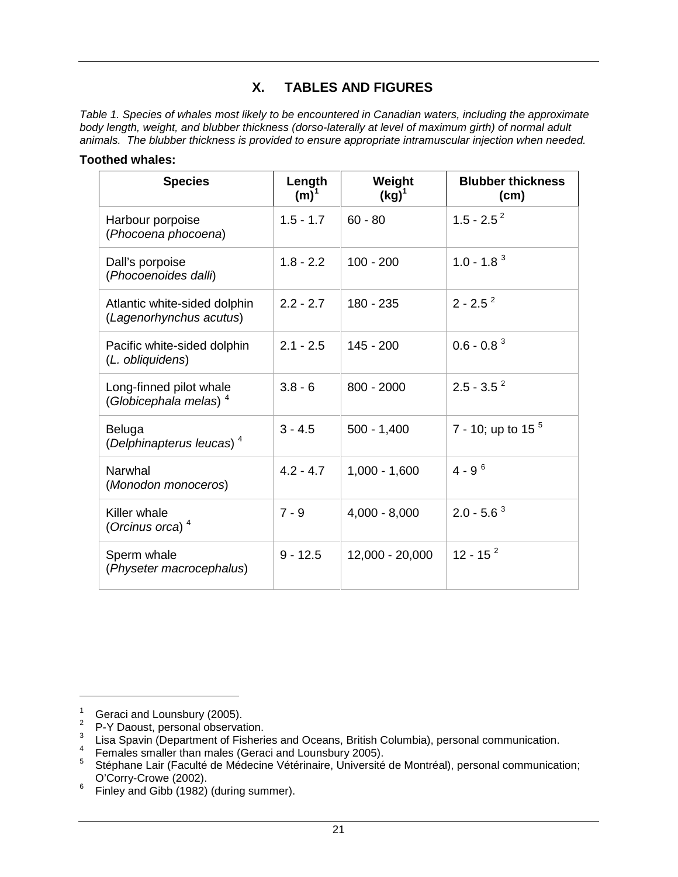### **X. TABLES AND FIGURES**

<span id="page-27-1"></span><span id="page-27-0"></span>*Table 1. Species of whales most likely to be encountered in Canadian waters, including the approximate body length, weight, and blubber thickness (dorso-laterally at level of maximum girth) of normal adult animals. The blubber thickness is provided to ensure appropriate intramuscular injection when needed.*

#### **Toothed whales:**

| <b>Species</b>                                               | Length<br>$(m)^1$ | Weight<br>$(kg)^1$ | <b>Blubber thickness</b><br>(cm) |  |
|--------------------------------------------------------------|-------------------|--------------------|----------------------------------|--|
| Harbour porpoise<br>(Phocoena phocoena)                      | $1.5 - 1.7$       | $60 - 80$          | $1.5 - 2.5^2$                    |  |
| Dall's porpoise<br>(Phocoenoides dalli)                      | $1.8 - 2.2$       | $100 - 200$        | $1.0 - 1.83$                     |  |
| Atlantic white-sided dolphin<br>(Lagenorhynchus acutus)      | $2.2 - 2.7$       | 180 - 235          | $2 - 2.5^2$                      |  |
| Pacific white-sided dolphin<br>(L. obliquidens)              | $2.1 - 2.5$       | $145 - 200$        | $0.6 - 0.8^3$                    |  |
| Long-finned pilot whale<br>(Globicephala melas) <sup>4</sup> | $3.8 - 6$         | $800 - 2000$       | $2.5 - 3.5^2$                    |  |
| Beluga<br>(Delphinapterus leucas) <sup>4</sup>               | $3 - 4.5$         | $500 - 1,400$      | 7 - 10; up to 15 $5$             |  |
| Narwhal<br>(Monodon monoceros)                               | $4.2 - 4.7$       | $1,000 - 1,600$    | $4 - 9^{6}$                      |  |
| Killer whale<br>(Orcinus orca) $4$                           | $7 - 9$           | $4,000 - 8,000$    | $2.0 - 5.6^3$                    |  |
| Sperm whale<br>(Physeter macrocephalus)                      | $9 - 12.5$        | 12,000 - 20,000    | $12 - 15^{2}$                    |  |

<span id="page-27-3"></span><span id="page-27-2"></span><sup>1</sup> Geraci and Lounsbury (2005).<br>
<sup>2</sup> P-Y Daoust, personal observation.<br>
<sup>3</sup> Lisa Spavin (Department of Fisheries and Oceans, British Columbia), personal communication.<br>
<sup>4</sup> Females smaller than males (Geraci and Lounsbury

<span id="page-27-4"></span>

<span id="page-27-6"></span><span id="page-27-5"></span><sup>&</sup>lt;sup>5</sup> Stéphane Lair (Faculté de Médecine Vétérinaire, Université de Montréal), personal communication;<br>O'Corry-Crowe (2002).

<span id="page-27-7"></span> $\frac{6}{100}$  Finley and Gibb (1982) (during summer).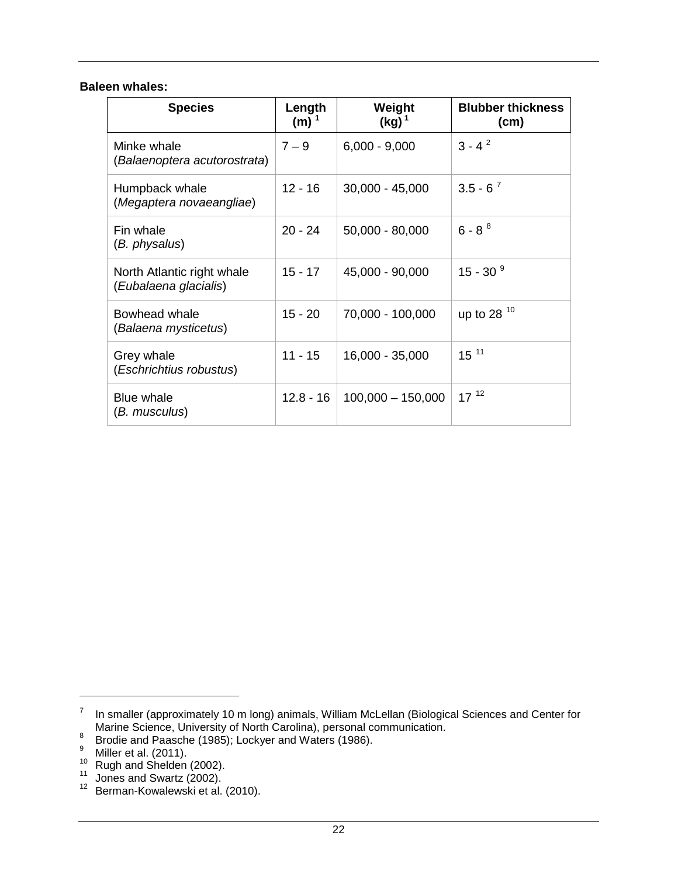#### **Baleen whales:**

| <b>Species</b>                                      | Length<br>$(m)^1$ | Weight<br>$(kg)^1$  | <b>Blubber thickness</b><br>(cm) |
|-----------------------------------------------------|-------------------|---------------------|----------------------------------|
| Minke whale<br>(Balaenoptera acutorostrata)         | $7 - 9$           | $6,000 - 9,000$     | $3 - 4^2$                        |
| Humpback whale<br>(Megaptera novaeangliae)          | $12 - 16$         | $30,000 - 45,000$   | $3.5 - 6^{7}$                    |
| Fin whale<br>(B. physalus)                          | $20 - 24$         | $50,000 - 80,000$   | $6 - 8^{8}$                      |
| North Atlantic right whale<br>(Eubalaena glacialis) | $15 - 17$         | 45,000 - 90,000     | 15 - 30 $9$                      |
| Bowhead whale<br>(Balaena mysticetus)               | 15 - 20           | 70,000 - 100,000    | up to 28 10                      |
| Grey whale<br>(Eschrichtius robustus)               | $11 - 15$         | 16,000 - 35,000     | $15^{11}$                        |
| Blue whale<br>(B. musculus)                         | 12.8 - 16         | $100,000 - 150,000$ | $17^{12}$                        |

<span id="page-28-0"></span><sup>&</sup>lt;sup>7</sup> In smaller (approximately 10 m long) animals, William McLellan (Biological Sciences and Center for Marine Science, University of North Carolina), personal communication.

<span id="page-28-2"></span><span id="page-28-1"></span><sup>&</sup>lt;sup>8</sup><br>Brodie and Paasche (1985); Lockyer and Waters (1986).<br><sup>9</sup><br>Miller et al. (2011).<br><sup>10</sup> Rugh and Shelden (2002).<br><sup>11</sup> Jones and Swartz (2002).<br><sup>12</sup> Berman-Kowalewski et al. (2010).

<span id="page-28-3"></span>

<span id="page-28-4"></span>

<span id="page-28-5"></span>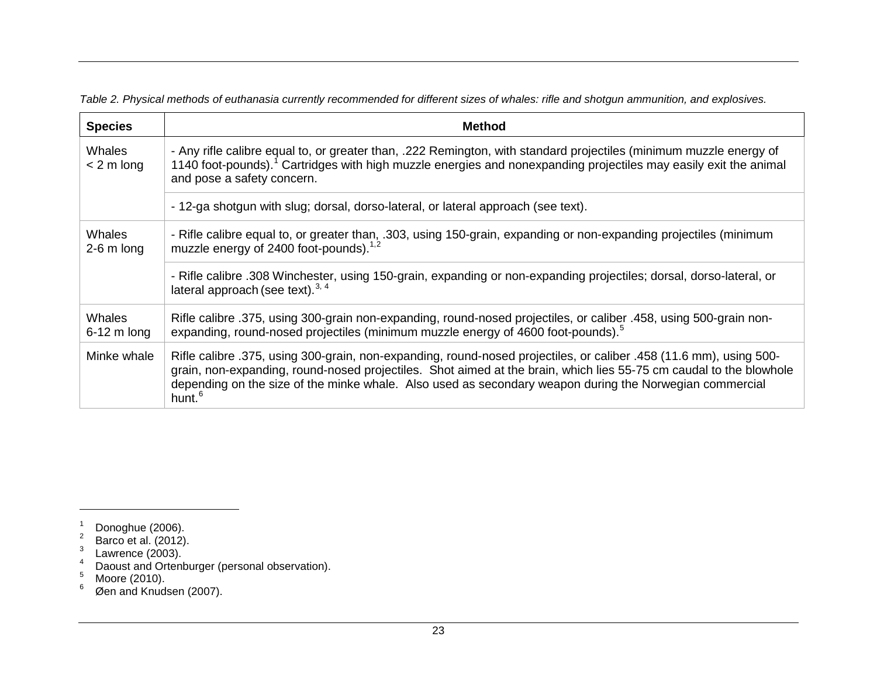**Species Method Whales** < 2 m long - Any rifle calibre equal to, or greater than, .222 Remington, with standard projectiles (minimum muzzle energy of [1](#page-29-1)140 foot-pounds).<sup>1</sup> Cartridges with high muzzle energies and nonexpanding projectiles may easily exit the animal and pose a safety concern. - 12-ga shotgun with slug; dorsal, dorso-lateral, or lateral approach (see text). **Whales** 2-6 m long - Rifle calibre equal to, or greater than, .303, using 150-grain, expanding or non-expanding projectiles (minimum muzzle energy of [2](#page-29-2)400 foot-pounds). $1,2$ - Rifle calibre .308 Winchester, using 150-grain, expanding or non-expanding projectiles; dorsal, dorso-lateral, or lateral approach (see text). $3, 4$  $3, 4$  $3, 4$ **Whales** 6-12 m long Rifle calibre .375, using 300-grain non-expanding, round-nosed projectiles, or caliber .458, using 500-grain non-expanding, round-nosed projectiles (minimum muzzle energy of 4600 foot-pounds).<sup>[5](#page-29-5)</sup>

<span id="page-29-6"></span><span id="page-29-5"></span><span id="page-29-4"></span><span id="page-29-3"></span><span id="page-29-2"></span><span id="page-29-1"></span>*Table 2. Physical methods of euthanasia currently recommended for different sizes of whales: rifle and shotgun ammunition, and explosives.*

 $\overline{a}$ 

<span id="page-29-0"></span>Minke whale | Rifle calibre .375, using 300-grain, non-expanding, round-nosed projectiles, or caliber .458 (11.6 mm), using 500grain, non-expanding, round-nosed projectiles. Shot aimed at the brain, which lies 55-75 cm caudal to the blowhole depending on the size of the minke whale. Also used as secondary weapon during the Norwegian commercial hunt.<sup>[6](#page-29-6)</sup>

<sup>1</sup> Donoghue (2006).<br>
<sup>2</sup> Barco et al. (2012).<br>
<sup>3</sup> Lawrence (2003).<br>
<sup>4</sup> Daoust and Ortenburger (personal observation).<br>
<sup>5</sup> Moore (2010).<br>
<sup>6</sup> Øen and Knudsen (2007).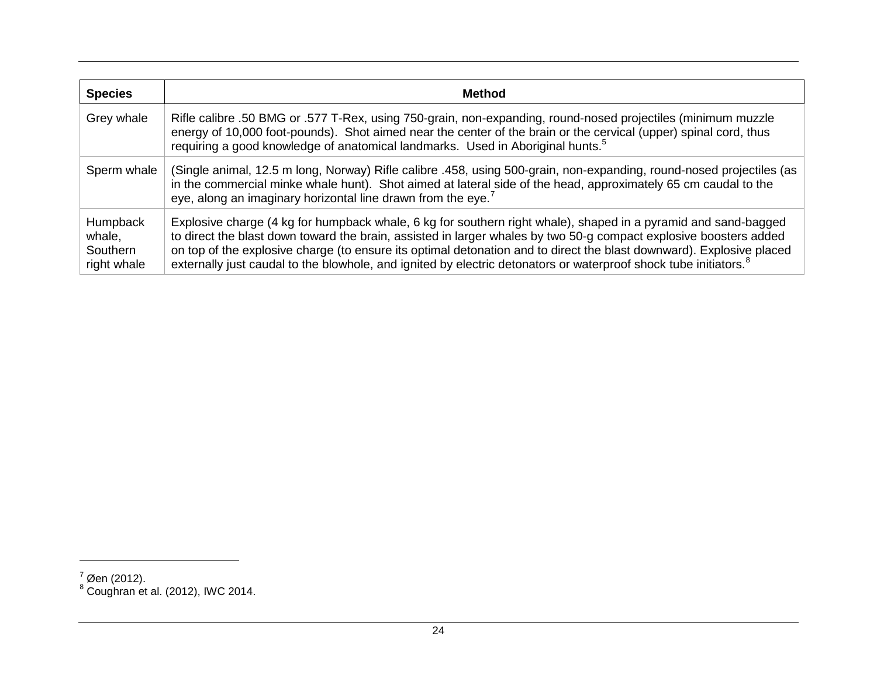<span id="page-30-1"></span><span id="page-30-0"></span>

| <b>Species</b>                                       | <b>Method</b>                                                                                                                                                                                                                                                                                                                                                                                                                                                                               |
|------------------------------------------------------|---------------------------------------------------------------------------------------------------------------------------------------------------------------------------------------------------------------------------------------------------------------------------------------------------------------------------------------------------------------------------------------------------------------------------------------------------------------------------------------------|
| Grey whale                                           | Rifle calibre .50 BMG or .577 T-Rex, using 750-grain, non-expanding, round-nosed projectiles (minimum muzzle<br>energy of 10,000 foot-pounds). Shot aimed near the center of the brain or the cervical (upper) spinal cord, thus<br>requiring a good knowledge of anatomical landmarks. Used in Aboriginal hunts. <sup>5</sup>                                                                                                                                                              |
| Sperm whale                                          | (Single animal, 12.5 m long, Norway) Rifle calibre .458, using 500-grain, non-expanding, round-nosed projectiles (as<br>in the commercial minke whale hunt). Shot aimed at lateral side of the head, approximately 65 cm caudal to the<br>eye, along an imaginary horizontal line drawn from the eye. <sup>7</sup>                                                                                                                                                                          |
| <b>Humpback</b><br>whale,<br>Southern<br>right whale | Explosive charge (4 kg for humpback whale, 6 kg for southern right whale), shaped in a pyramid and sand-bagged<br>to direct the blast down toward the brain, assisted in larger whales by two 50-g compact explosive boosters added<br>on top of the explosive charge (to ensure its optimal detonation and to direct the blast downward). Explosive placed<br>externally just caudal to the blowhole, and ignited by electric detonators or waterproof shock tube initiators. <sup>8</sup> |

 $\frac{7}{1}$ Øen (2012).

 $^8$  Coughran et al. (2012), IWC 2014.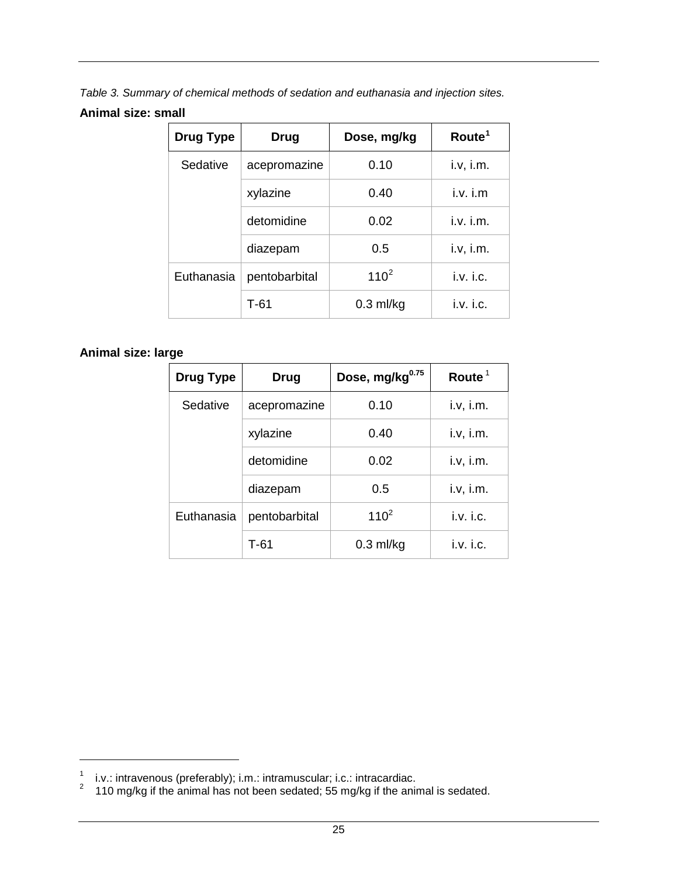<span id="page-31-0"></span>*Table 3. Summary of chemical methods of sedation and euthanasia and injection sites.*

#### **Animal size: small**

| <b>Drug Type</b><br>Drug |               | Dose, mg/kg | Route <sup>1</sup> |  |
|--------------------------|---------------|-------------|--------------------|--|
| Sedative                 | acepromazine  | 0.10        |                    |  |
|                          | xylazine      | 0.40        | $i.v.$ $i.m$       |  |
|                          | detomidine    | 0.02        | $i.v.$ $i.m.$      |  |
|                          | diazepam      | 0.5         | i.v, i.m.          |  |
| Euthanasia               | pentobarbital | $110^{2}$   | i.v. i.c.          |  |
|                          | $T-61$        | $0.3$ ml/kg | i.v. i.c.          |  |

### **Animal size: large**

| <b>Drug Type</b> | Drug                       | Route $1$   |           |
|------------------|----------------------------|-------------|-----------|
| Sedative         | 0.10<br>acepromazine       |             | i.v, i.m. |
|                  | xylazine                   | 0.40        | i.v, i.m. |
|                  | detomidine                 | 0.02        | i.v, i.m. |
|                  | diazepam                   | 0.5         | i.v, i.m. |
| Euthanasia       | $110^{2}$<br>pentobarbital |             | i.v. i.c. |
|                  | T-61                       | $0.3$ ml/kg | i.v. i.c. |

<span id="page-31-2"></span><span id="page-31-1"></span><sup>1</sup> i.v.: intravenous (preferably); i.m.: intramuscular; i.c.: intracardiac.<br><sup>2</sup> 110 mg/kg if the animal has not been sedated; 55 mg/kg if the animal is sedated.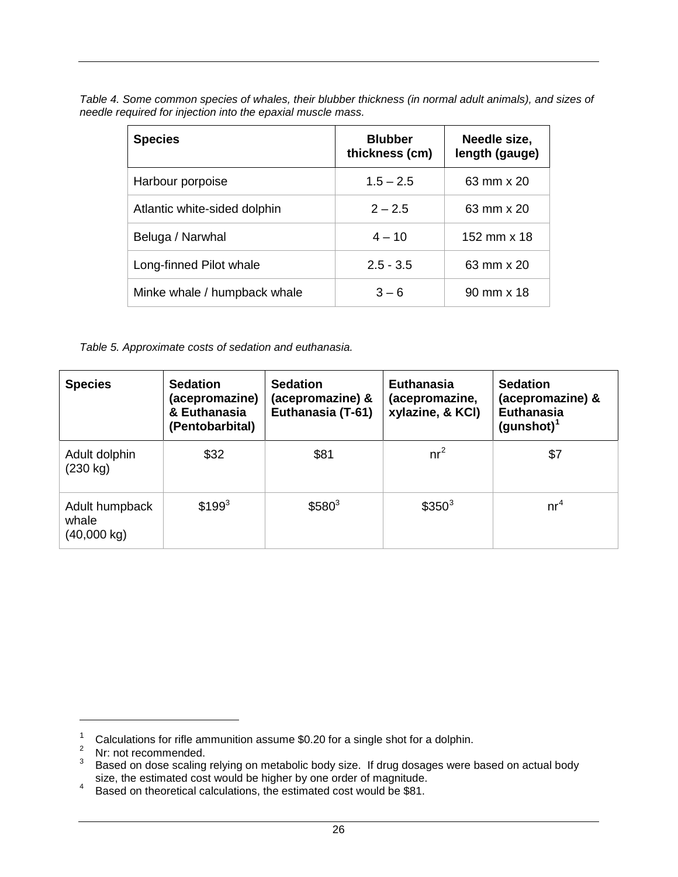<span id="page-32-0"></span>

| Table 4. Some common species of whales, their blubber thickness (in normal adult animals), and sizes of |  |  |  |
|---------------------------------------------------------------------------------------------------------|--|--|--|
| needle required for injection into the epaxial muscle mass.                                             |  |  |  |

| <b>Species</b>               | <b>Blubber</b><br>thickness (cm) | Needle size,<br>length (gauge) |
|------------------------------|----------------------------------|--------------------------------|
| Harbour porpoise             | $1.5 - 2.5$                      | 63 mm x 20                     |
| Atlantic white-sided dolphin | $2 - 2.5$                        | 63 mm x 20                     |
| Beluga / Narwhal             | $4 - 10$                         | 152 mm x 18                    |
| Long-finned Pilot whale      | $2.5 - 3.5$                      | 63 mm x 20                     |
| Minke whale / humpback whale | $3 - 6$                          | 90 mm x 18                     |

<span id="page-32-1"></span>*Table 5. Approximate costs of sedation and euthanasia.* 

| <b>Species</b>                         | <b>Sedation</b><br>(acepromazine)<br>& Euthanasia<br>(Pentobarbital) | <b>Sedation</b><br>(acepromazine) &<br>Euthanasia (T-61) | <b>Euthanasia</b><br>(acepromazine,<br>xylazine, & KCI) | <b>Sedation</b><br>(acepromazine) &<br><b>Euthanasia</b><br>$(gunshot)^1$ |
|----------------------------------------|----------------------------------------------------------------------|----------------------------------------------------------|---------------------------------------------------------|---------------------------------------------------------------------------|
| Adult dolphin<br>(230 kg)              | \$32                                                                 | \$81                                                     | $nr^2$                                                  | \$7                                                                       |
| Adult humpback<br>whale<br>(40,000 kg) | $$199^{3}$                                                           | $$580^3$                                                 | $$350^3$                                                | nr <sup>4</sup>                                                           |

<sup>&</sup>lt;sup>1</sup> Calculations for rifle ammunition assume \$0.20 for a single shot for a dolphin.

<span id="page-32-3"></span><span id="page-32-2"></span> $\frac{2}{3}$  Nr: not recommended.

<span id="page-32-4"></span> $3$  Based on dose scaling relying on metabolic body size. If drug dosages were based on actual body

<span id="page-32-5"></span>size, the estimated cost would be higher by one order of magnitude.<br><sup>4</sup> Based on theoretical calculations, the estimated cost would be \$81.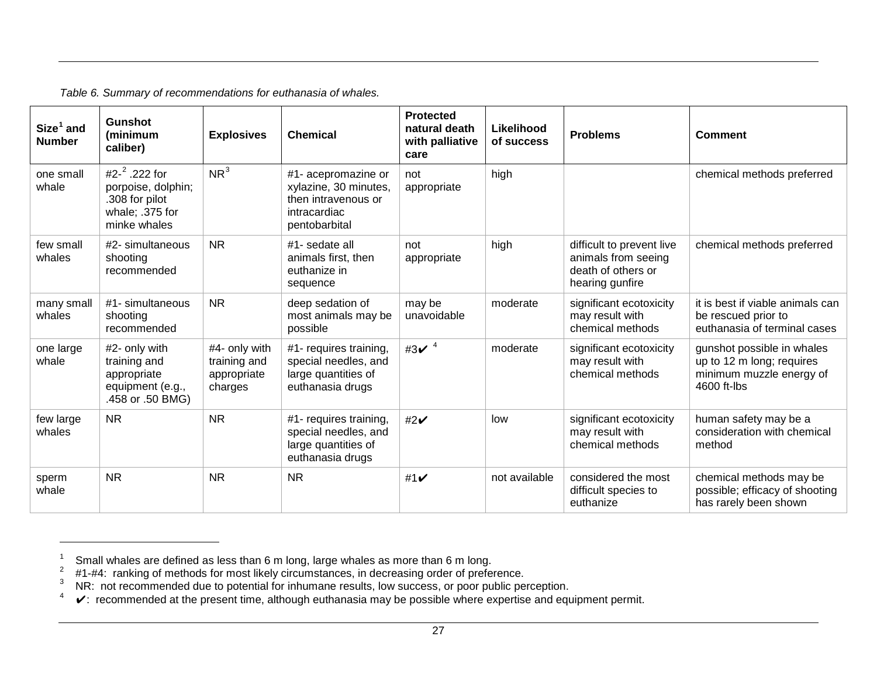<span id="page-33-0"></span>

| Size <sup>1</sup> and<br><b>Number</b> | <b>Gunshot</b><br>(minimum<br>caliber)                                                       | <b>Explosives</b>                                       | <b>Chemical</b>                                                                                      | <b>Protected</b><br>natural death<br>with palliative<br>care | Likelihood<br>of success | <b>Problems</b>                                                                           | <b>Comment</b>                                                                                     |
|----------------------------------------|----------------------------------------------------------------------------------------------|---------------------------------------------------------|------------------------------------------------------------------------------------------------------|--------------------------------------------------------------|--------------------------|-------------------------------------------------------------------------------------------|----------------------------------------------------------------------------------------------------|
| one small<br>whale                     | #2- $^2$ .222 for<br>porpoise, dolphin;<br>.308 for pilot<br>whale; .375 for<br>minke whales | NR <sup>3</sup>                                         | #1- acepromazine or<br>xylazine, 30 minutes,<br>then intravenous or<br>intracardiac<br>pentobarbital | not<br>appropriate                                           | high                     |                                                                                           | chemical methods preferred                                                                         |
| few small<br>whales                    | #2- simultaneous<br>shooting<br>recommended                                                  | <b>NR</b>                                               | #1- sedate all<br>animals first, then<br>euthanize in<br>sequence                                    | not<br>appropriate                                           | high                     | difficult to prevent live<br>animals from seeing<br>death of others or<br>hearing gunfire | chemical methods preferred                                                                         |
| many small<br>whales                   | #1- simultaneous<br>shooting<br>recommended                                                  | <b>NR</b>                                               | deep sedation of<br>most animals may be<br>possible                                                  | may be<br>unavoidable                                        | moderate                 | significant ecotoxicity<br>may result with<br>chemical methods                            | it is best if viable animals can<br>be rescued prior to<br>euthanasia of terminal cases            |
| one large<br>whale                     | #2- only with<br>training and<br>appropriate<br>equipment (e.g.,<br>.458 or .50 BMG)         | #4- only with<br>training and<br>appropriate<br>charges | #1- requires training,<br>special needles, and<br>large quantities of<br>euthanasia drugs            | #3 $\times$ <sup>4</sup>                                     | moderate                 | significant ecotoxicity<br>may result with<br>chemical methods                            | gunshot possible in whales<br>up to 12 m long; requires<br>minimum muzzle energy of<br>4600 ft-lbs |
| few large<br>whales                    | <b>NR</b>                                                                                    | <b>NR</b>                                               | #1- requires training,<br>special needles, and<br>large quantities of<br>euthanasia drugs            | #2 $\checkmark$                                              | low                      | significant ecotoxicity<br>may result with<br>chemical methods                            | human safety may be a<br>consideration with chemical<br>method                                     |
| sperm<br>whale                         | <b>NR</b>                                                                                    | <b>NR</b>                                               | <b>NR</b>                                                                                            | #1 $\checkmark$                                              | not available            | considered the most<br>difficult species to<br>euthanize                                  | chemical methods may be<br>possible; efficacy of shooting<br>has rarely been shown                 |

<span id="page-33-4"></span><span id="page-33-3"></span><span id="page-33-2"></span><span id="page-33-1"></span>*Table 6. Summary of recommendations for euthanasia of whales.*

 $\overline{a}$ 

<sup>&</sup>lt;sup>1</sup> Small whales are defined as less than 6 m long, large whales as more than 6 m long.<br><sup>2</sup> #1-#4: ranking of methods for most likely circumstances, in decreasing order of preference.<br><sup>3</sup> NR: not recommended due to potent

 $4\quad \blacktriangleright$ : recommended at the present time, although euthanasia may be possible where expertise and equipment permit.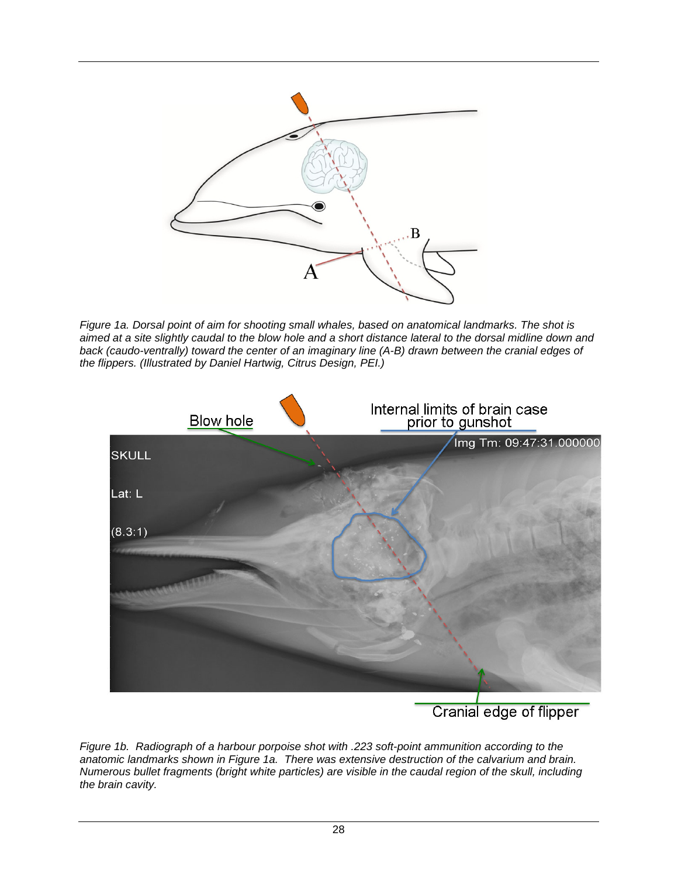

<span id="page-34-0"></span>*Figure 1a. Dorsal point of aim for shooting small whales, based on anatomical landmarks. The shot is aimed at a site slightly caudal to the blow hole and a short distance lateral to the dorsal midline down and back (caudo-ventrally) toward the center of an imaginary line (A-B) drawn between the cranial edges of the flippers. (Illustrated by Daniel Hartwig, Citrus Design, PEI.)*



# Cranial edge of flipper

<span id="page-34-1"></span>*Figure 1b. Radiograph of a harbour porpoise shot with .223 soft-point ammunition according to the anatomic landmarks shown in Figure 1a. There was extensive destruction of the calvarium and brain. Numerous bullet fragments (bright white particles) are visible in the caudal region of the skull, including the brain cavity.*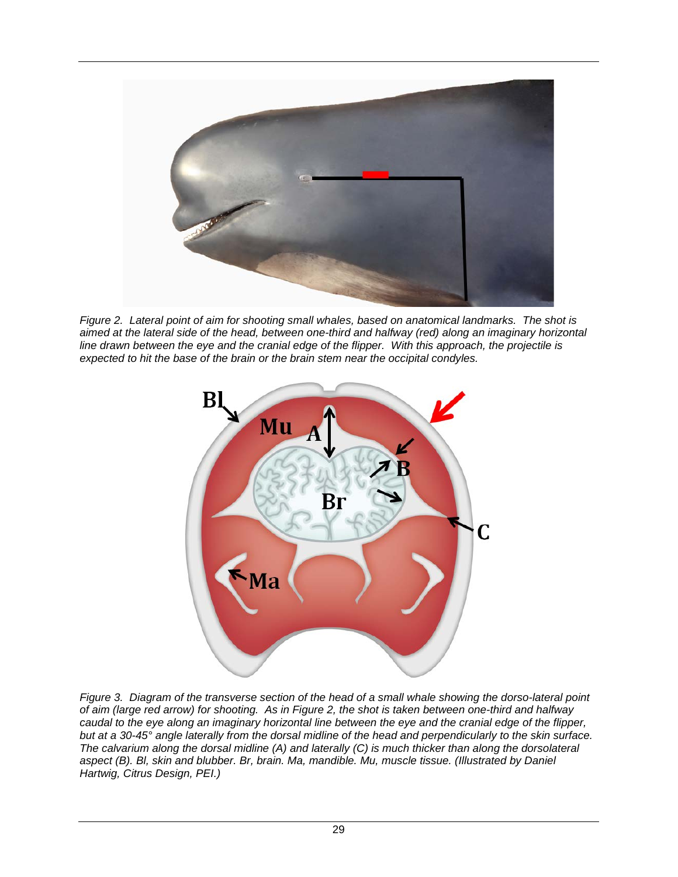

*Figure 2. Lateral point of aim for shooting small whales, based on anatomical landmarks. The shot is aimed at the lateral side of the head, between one-third and halfway (red) along an imaginary horizontal line drawn between the eye and the cranial edge of the flipper. With this approach, the projectile is expected to hit the base of the brain or the brain stem near the occipital condyles.*

<span id="page-35-0"></span>

<span id="page-35-1"></span>*Figure 3. Diagram of the transverse section of the head of a small whale showing the dorso-lateral point of aim (large red arrow) for shooting. As in Figure 2, the shot is taken between one-third and halfway caudal to the eye along an imaginary horizontal line between the eye and the cranial edge of the flipper, but at a 30-45° angle laterally from the dorsal midline of the head and perpendicularly to the skin surface. The calvarium along the dorsal midline (A) and laterally (C) is much thicker than along the dorsolateral aspect (B). Bl, skin and blubber. Br, brain. Ma, mandible. Mu, muscle tissue. (Illustrated by Daniel Hartwig, Citrus Design, PEI.)*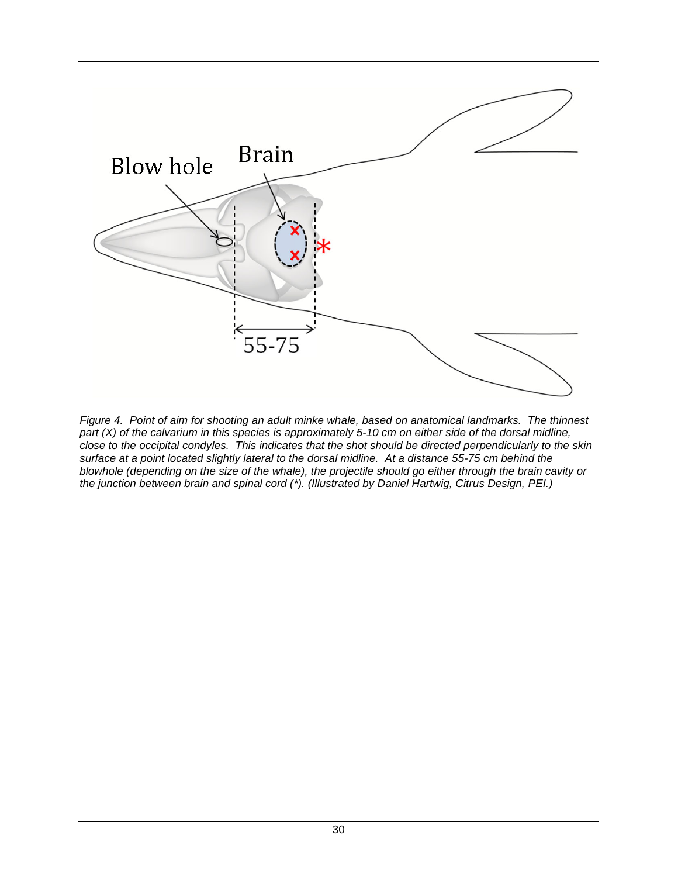

<span id="page-36-0"></span>*Figure 4. Point of aim for shooting an adult minke whale, based on anatomical landmarks. The thinnest*  part (X) of the calvarium in this species is approximately 5-10 cm on either side of the dorsal midline, *close to the occipital condyles. This indicates that the shot should be directed perpendicularly to the skin surface at a point located slightly lateral to the dorsal midline. At a distance 55-75 cm behind the blowhole (depending on the size of the whale), the projectile should go either through the brain cavity or the junction between brain and spinal cord (\*). (Illustrated by Daniel Hartwig, Citrus Design, PEI.)*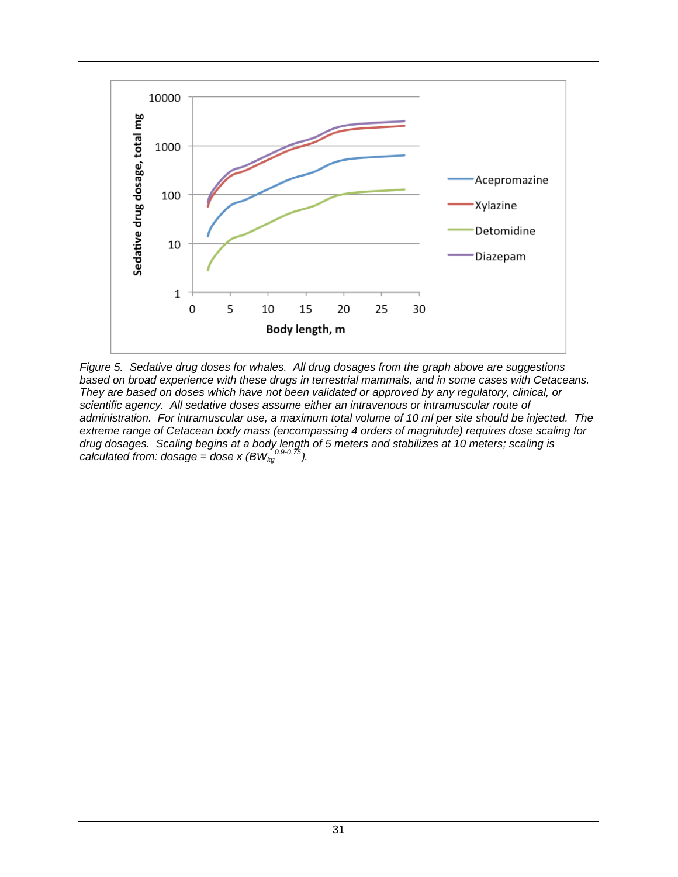

<span id="page-37-0"></span>*Figure 5. Sedative drug doses for whales. All drug dosages from the graph above are suggestions based on broad experience with these drugs in terrestrial mammals, and in some cases with Cetaceans. They are based on doses which have not been validated or approved by any regulatory, clinical, or scientific agency. All sedative doses assume either an intravenous or intramuscular route of administration. For intramuscular use, a maximum total volume of 10 ml per site should be injected. The extreme range of Cetacean body mass (encompassing 4 orders of magnitude) requires dose scaling for drug dosages. Scaling begins at a body length of 5 meters and stabilizes at 10 meters; scaling is calculated from: dosage = dose x*  $(BW_{kg}^{0.9-0.75})$ *.*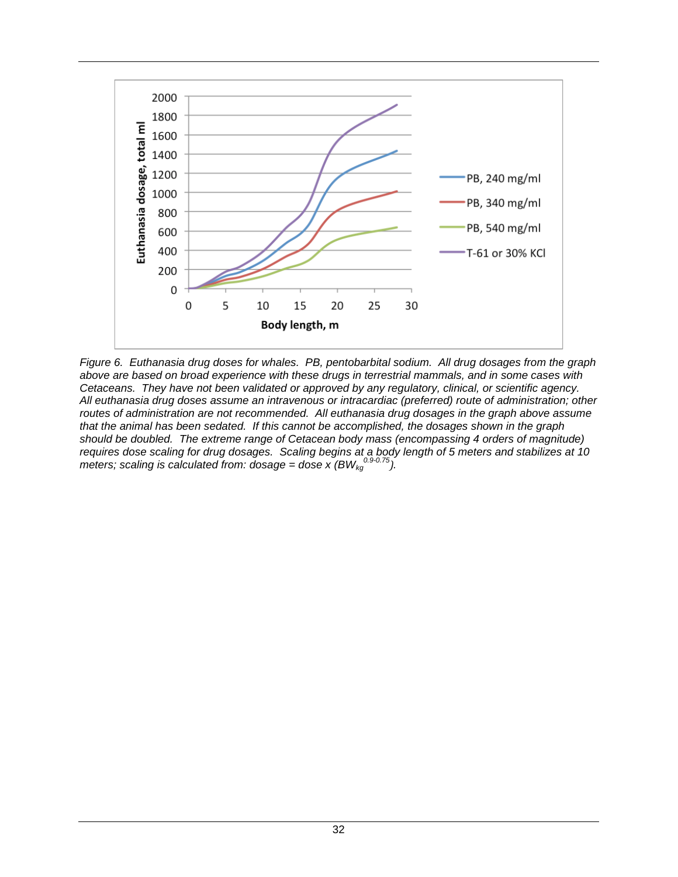

<span id="page-38-0"></span>*Figure 6. Euthanasia drug doses for whales. PB, pentobarbital sodium. All drug dosages from the graph above are based on broad experience with these drugs in terrestrial mammals, and in some cases with Cetaceans. They have not been validated or approved by any regulatory, clinical, or scientific agency. All euthanasia drug doses assume an intravenous or intracardiac (preferred) route of administration; other routes of administration are not recommended. All euthanasia drug dosages in the graph above assume that the animal has been sedated. If this cannot be accomplished, the dosages shown in the graph should be doubled. The extreme range of Cetacean body mass (encompassing 4 orders of magnitude) requires dose scaling for drug dosages. Scaling begins at a body length of 5 meters and stabilizes at 10*  meters; scaling is calculated from: dosage = dose x (BW<sub>kg</sub><sup>0.9-0.75</sup>).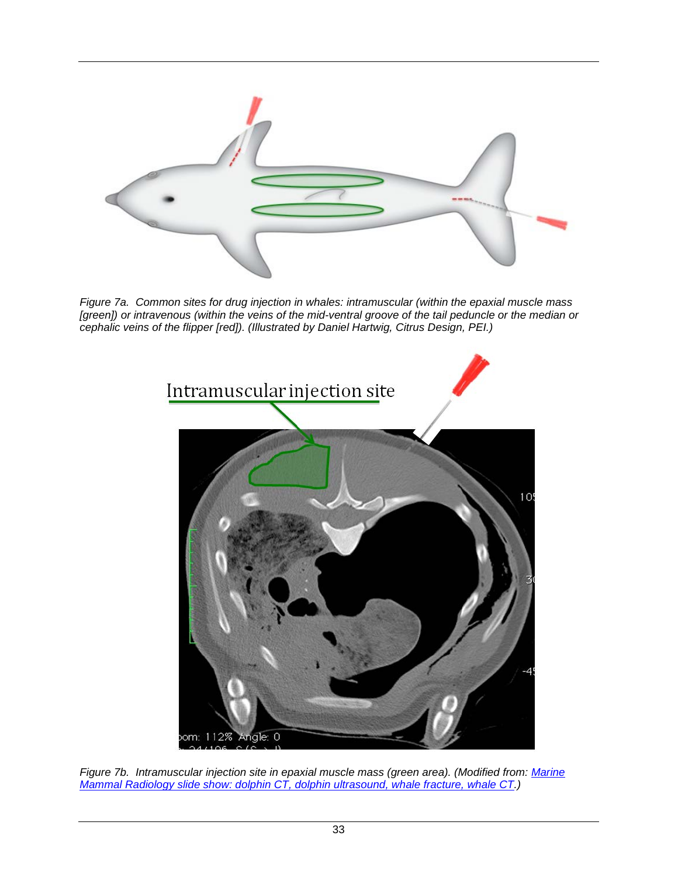

*Figure 7a. Common sites for drug injection in whales: intramuscular (within the epaxial muscle mass [green]) or intravenous (within the veins of the mid-ventral groove of the tail peduncle or the median or cephalic veins of the flipper [red]). (Illustrated by Daniel Hartwig, Citrus Design, PEI.)*

<span id="page-39-1"></span><span id="page-39-0"></span>

*Figure 7b. Intramuscular injection site in epaxial muscle mass (green area). (Modified from: [Marine](http://www.marinemammalradiology.com/?_escaped_fragment_=marine-mammal-radiology/zoom/mainPage/image11fn)  [Mammal Radiology slide show: dolphin CT, dolphin ultrasound, whale fracture, whale CT.](http://www.marinemammalradiology.com/?_escaped_fragment_=marine-mammal-radiology/zoom/mainPage/image11fn))*